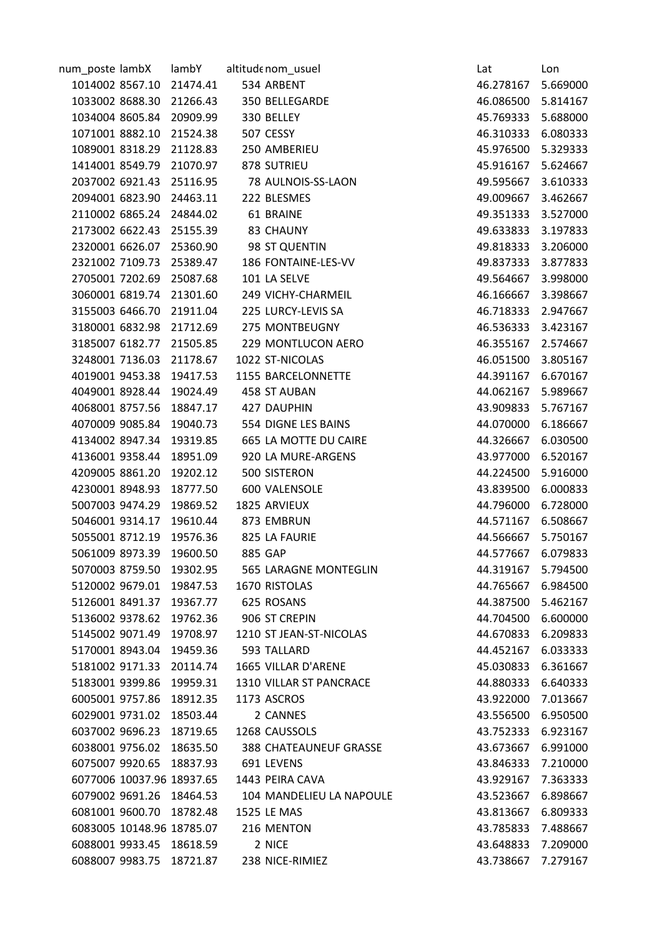| num_poste lambX |                          | lambY                     | altitude nom_usuel       | Lat                | Lon      |
|-----------------|--------------------------|---------------------------|--------------------------|--------------------|----------|
|                 |                          | 1014002 8567.10 21474.41  | 534 ARBENT               | 46.278167          | 5.669000 |
|                 |                          | 1033002 8688.30 21266.43  | 350 BELLEGARDE           | 46.086500 5.814167 |          |
|                 | 1034004 8605.84          | 20909.99                  | 330 BELLEY               | 45.769333          | 5.688000 |
|                 |                          | 1071001 8882.10 21524.38  | 507 CESSY                | 46.310333          | 6.080333 |
|                 |                          | 1089001 8318.29 21128.83  | 250 AMBERIEU             | 45.976500 5.329333 |          |
|                 |                          | 1414001 8549.79 21070.97  | 878 SUTRIEU              | 45.916167 5.624667 |          |
|                 |                          | 2037002 6921.43 25116.95  | 78 AULNOIS-SS-LAON       | 49.595667 3.610333 |          |
| 2094001 6823.90 |                          | 24463.11                  | 222 BLESMES              | 49.009667          | 3.462667 |
|                 |                          | 2110002 6865.24 24844.02  | 61 BRAINE                | 49.351333 3.527000 |          |
|                 |                          | 2173002 6622.43 25155.39  | 83 CHAUNY                | 49.633833          | 3.197833 |
|                 |                          | 2320001 6626.07 25360.90  | 98 ST QUENTIN            | 49.818333 3.206000 |          |
|                 |                          | 2321002 7109.73 25389.47  | 186 FONTAINE-LES-VV      | 49.837333 3.877833 |          |
|                 | 2705001 7202.69          | 25087.68                  | 101 LA SELVE             | 49.564667          | 3.998000 |
|                 |                          | 3060001 6819.74 21301.60  | 249 VICHY-CHARMEIL       | 46.166667 3.398667 |          |
|                 |                          | 3155003 6466.70 21911.04  | 225 LURCY-LEVIS SA       | 46.718333 2.947667 |          |
|                 |                          | 3180001 6832.98 21712.69  | 275 MONTBEUGNY           | 46.536333 3.423167 |          |
|                 |                          | 3185007 6182.77 21505.85  | 229 MONTLUCON AERO       | 46.355167          | 2.574667 |
|                 | 3248001 7136.03          | 21178.67                  | 1022 ST-NICOLAS          | 46.051500          | 3.805167 |
|                 |                          | 4019001 9453.38 19417.53  | 1155 BARCELONNETTE       | 44.391167 6.670167 |          |
|                 |                          | 4049001 8928.44 19024.49  | 458 ST AUBAN             | 44.062167 5.989667 |          |
|                 |                          | 4068001 8757.56 18847.17  | 427 DAUPHIN              | 43.909833 5.767167 |          |
| 4070009 9085.84 |                          | 19040.73                  | 554 DIGNE LES BAINS      | 44.070000          | 6.186667 |
|                 |                          | 4134002 8947.34 19319.85  | 665 LA MOTTE DU CAIRE    | 44.326667          | 6.030500 |
|                 |                          | 4136001 9358.44 18951.09  | 920 LA MURE-ARGENS       | 43.977000 6.520167 |          |
|                 |                          | 4209005 8861.20 19202.12  | 500 SISTERON             | 44.224500          | 5.916000 |
|                 |                          | 4230001 8948.93 18777.50  | 600 VALENSOLE            | 43.839500          | 6.000833 |
| 5007003 9474.29 |                          | 19869.52                  | 1825 ARVIEUX             | 44.796000          | 6.728000 |
|                 |                          | 5046001 9314.17 19610.44  | 873 EMBRUN               | 44.571167 6.508667 |          |
|                 | 5055001 8712.19          | 19576.36                  | 825 LA FAURIE            | 44.566667          | 5.750167 |
| 5061009 8973.39 |                          | 19600.50                  | 885 GAP                  | 44.577667          | 6.079833 |
| 5070003 8759.50 |                          | 19302.95                  | 565 LARAGNE MONTEGLIN    | 44.319167 5.794500 |          |
|                 |                          | 5120002 9679.01 19847.53  | 1670 RISTOLAS            | 44.765667 6.984500 |          |
|                 |                          | 5126001 8491.37 19367.77  | 625 ROSANS               | 44.387500 5.462167 |          |
| 5136002 9378.62 |                          | 19762.36                  | 906 ST CREPIN            | 44.704500          | 6.600000 |
|                 | 5145002 9071.49          | 19708.97                  | 1210 ST JEAN-ST-NICOLAS  | 44.670833          | 6.209833 |
| 5170001 8943.04 |                          | 19459.36                  | 593 TALLARD              | 44.452167          | 6.033333 |
|                 |                          | 5181002 9171.33 20114.74  | 1665 VILLAR D'ARENE      | 45.030833          | 6.361667 |
|                 |                          | 5183001 9399.86 19959.31  | 1310 VILLAR ST PANCRACE  | 44.880333 6.640333 |          |
| 6005001 9757.86 |                          | 18912.35                  | 1173 ASCROS              | 43.922000          | 7.013667 |
|                 |                          | 6029001 9731.02 18503.44  | 2 CANNES                 | 43.556500          | 6.950500 |
|                 | 6037002 9696.23          | 18719.65                  | 1268 CAUSSOLS            | 43.752333          | 6.923167 |
|                 |                          | 6038001 9756.02 18635.50  | 388 CHATEAUNEUF GRASSE   | 43.673667          | 6.991000 |
| 6075007 9920.65 |                          | 18837.93                  | 691 LEVENS               | 43.846333          | 7.210000 |
|                 |                          | 6077006 10037.96 18937.65 | 1443 PEIRA CAVA          | 43.929167          | 7.363333 |
|                 | 6079002 9691.26 18464.53 |                           | 104 MANDELIEU LA NAPOULE | 43.523667          | 6.898667 |
| 6081001 9600.70 |                          | 18782.48                  | 1525 LE MAS              | 43.813667          | 6.809333 |
|                 |                          | 6083005 10148.96 18785.07 | 216 MENTON               | 43.785833          | 7.488667 |
|                 | 6088001 9933.45 18618.59 |                           | 2 NICE                   | 43.648833          | 7.209000 |
|                 |                          | 6088007 9983.75 18721.87  | 238 NICE-RIMIEZ          | 43.738667          | 7.279167 |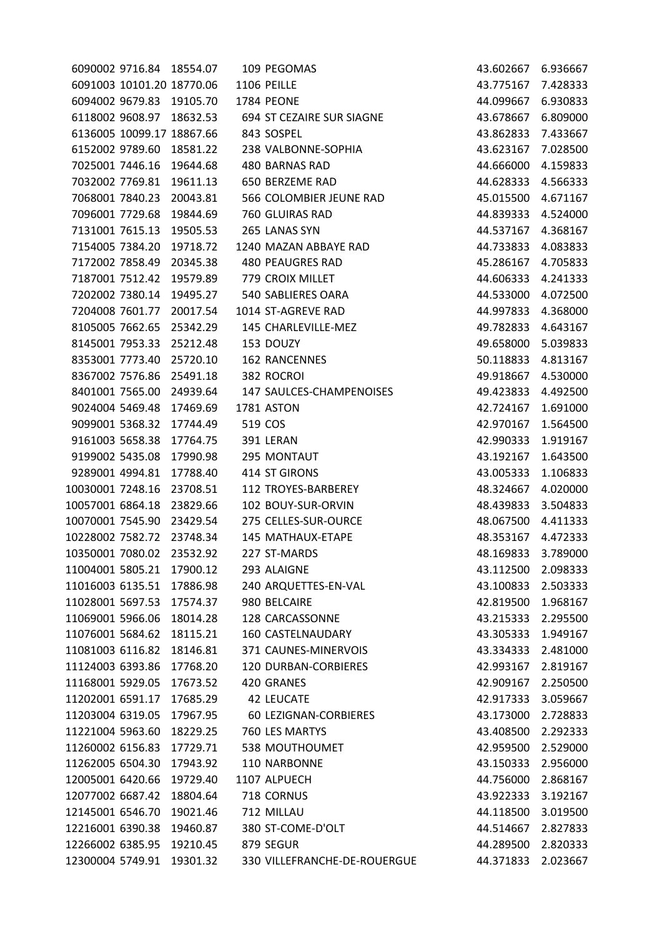| 6091003 10101.20 18770.06<br>1106 PEILLE<br>43.775167<br>6094002 9679.83 19105.70<br><b>1784 PEONE</b><br>44.099667<br>6118002 9608.97 18632.53<br>694 ST CEZAIRE SUR SIAGNE<br>43.678667<br>6136005 10099.17 18867.66<br>843 SOSPEL<br>43.862833<br>6152002 9789.60<br>238 VALBONNE-SOPHIA<br>18581.22<br>43.623167<br>7025001 7446.16<br>480 BARNAS RAD<br>19644.68<br>44.666000<br>7032002 7769.81<br>19611.13<br>650 BERZEME RAD<br>44.628333<br>7068001 7840.23<br>566 COLOMBIER JEUNE RAD<br>20043.81<br>45.015500<br>7096001 7729.68<br>760 GLUIRAS RAD<br>19844.69<br>44.839333<br>7131001 7615.13<br>265 LANAS SYN<br>19505.53<br>7154005 7384.20<br>19718.72<br>1240 MAZAN ABBAYE RAD<br>44.733833<br>7172002 7858.49<br><b>480 PEAUGRES RAD</b><br>20345.38<br>45.286167<br>7187001 7512.42<br>19579.89<br>779 CROIX MILLET<br>44.606333<br>7202002 7380.14<br>19495.27<br>540 SABLIERES OARA<br>44.533000<br>7204008 7601.77<br>20017.54<br>1014 ST-AGREVE RAD<br>44.997833<br>8105005 7662.65<br>145 CHARLEVILLE-MEZ<br>25342.29<br>49.782833<br>8145001 7953.33 25212.48<br>153 DOUZY<br>49.658000<br>8353001 7773.40<br>25720.10<br><b>162 RANCENNES</b><br>50.118833<br>8367002 7576.86<br>25491.18<br>382 ROCROI<br>49.918667<br>8401001 7565.00<br>24939.64<br>147 SAULCES-CHAMPENOISES<br>49.423833<br>9024004 5469.48<br>17469.69<br>1781 ASTON<br>42.724167<br>9099001 5368.32<br>519 COS<br>17744.49<br>42.970167<br>9161003 5658.38<br>391 LERAN<br>17764.75<br>42.990333<br>9199002 5435.08<br>17990.98<br>295 MONTAUT<br>43.192167<br>9289001 4994.81<br>17788.40<br>414 ST GIRONS<br>43.005333<br>10030001 7248.16<br>23708.51<br>112 TROYES-BARBEREY<br>48.324667<br>10057001 6864.18<br>23829.66<br>102 BOUY-SUR-ORVIN<br>48.439833<br>10070001 7545.90<br>275 CELLES-SUR-OURCE<br>23429.54<br>48.067500<br>10228002 7582.72 23748.34<br><b>145 MATHAUX-ETAPE</b><br>10350001 7080.02<br>23532.92<br>227 ST-MARDS<br>48.169833<br>11004001 5805.21<br>293 ALAIGNE<br>43.112500<br>17900.12<br>11016003 6135.51<br>17886.98<br>240 ARQUETTES-EN-VAL<br>43.100833<br>11028001 5697.53<br>17574.37<br>980 BELCAIRE<br>42.819500<br>11069001 5966.06<br>128 CARCASSONNE<br>18014.28<br>43.215333<br>11076001 5684.62<br><b>160 CASTELNAUDARY</b><br>18115.21<br>43.305333<br>11081003 6116.82<br>18146.81<br>371 CAUNES-MINERVOIS<br>43.334333<br>11124003 6393.86<br>17768.20<br><b>120 DURBAN-CORBIERES</b><br>42.993167<br>11168001 5929.05<br>420 GRANES<br>17673.52<br>42.909167<br>11202001 6591.17<br>17685.29<br>42.917333<br>42 LEUCATE<br>11203004 6319.05<br>17967.95<br>60 LEZIGNAN-CORBIERES<br>43.173000 | 7.428333<br>6.930833<br>6.809000<br>7.433667<br>7.028500<br>4.159833<br>4.566333<br>4.671167<br>4.524000<br>44.537167 4.368167<br>4.083833 |
|------------------------------------------------------------------------------------------------------------------------------------------------------------------------------------------------------------------------------------------------------------------------------------------------------------------------------------------------------------------------------------------------------------------------------------------------------------------------------------------------------------------------------------------------------------------------------------------------------------------------------------------------------------------------------------------------------------------------------------------------------------------------------------------------------------------------------------------------------------------------------------------------------------------------------------------------------------------------------------------------------------------------------------------------------------------------------------------------------------------------------------------------------------------------------------------------------------------------------------------------------------------------------------------------------------------------------------------------------------------------------------------------------------------------------------------------------------------------------------------------------------------------------------------------------------------------------------------------------------------------------------------------------------------------------------------------------------------------------------------------------------------------------------------------------------------------------------------------------------------------------------------------------------------------------------------------------------------------------------------------------------------------------------------------------------------------------------------------------------------------------------------------------------------------------------------------------------------------------------------------------------------------------------------------------------------------------------------------------------------------------------------------------------------------------------------------------------------------------------------------------------------------------------------------------------------------------------------------------------------------------------------------|--------------------------------------------------------------------------------------------------------------------------------------------|
|                                                                                                                                                                                                                                                                                                                                                                                                                                                                                                                                                                                                                                                                                                                                                                                                                                                                                                                                                                                                                                                                                                                                                                                                                                                                                                                                                                                                                                                                                                                                                                                                                                                                                                                                                                                                                                                                                                                                                                                                                                                                                                                                                                                                                                                                                                                                                                                                                                                                                                                                                                                                                                                |                                                                                                                                            |
|                                                                                                                                                                                                                                                                                                                                                                                                                                                                                                                                                                                                                                                                                                                                                                                                                                                                                                                                                                                                                                                                                                                                                                                                                                                                                                                                                                                                                                                                                                                                                                                                                                                                                                                                                                                                                                                                                                                                                                                                                                                                                                                                                                                                                                                                                                                                                                                                                                                                                                                                                                                                                                                |                                                                                                                                            |
|                                                                                                                                                                                                                                                                                                                                                                                                                                                                                                                                                                                                                                                                                                                                                                                                                                                                                                                                                                                                                                                                                                                                                                                                                                                                                                                                                                                                                                                                                                                                                                                                                                                                                                                                                                                                                                                                                                                                                                                                                                                                                                                                                                                                                                                                                                                                                                                                                                                                                                                                                                                                                                                |                                                                                                                                            |
|                                                                                                                                                                                                                                                                                                                                                                                                                                                                                                                                                                                                                                                                                                                                                                                                                                                                                                                                                                                                                                                                                                                                                                                                                                                                                                                                                                                                                                                                                                                                                                                                                                                                                                                                                                                                                                                                                                                                                                                                                                                                                                                                                                                                                                                                                                                                                                                                                                                                                                                                                                                                                                                |                                                                                                                                            |
|                                                                                                                                                                                                                                                                                                                                                                                                                                                                                                                                                                                                                                                                                                                                                                                                                                                                                                                                                                                                                                                                                                                                                                                                                                                                                                                                                                                                                                                                                                                                                                                                                                                                                                                                                                                                                                                                                                                                                                                                                                                                                                                                                                                                                                                                                                                                                                                                                                                                                                                                                                                                                                                |                                                                                                                                            |
|                                                                                                                                                                                                                                                                                                                                                                                                                                                                                                                                                                                                                                                                                                                                                                                                                                                                                                                                                                                                                                                                                                                                                                                                                                                                                                                                                                                                                                                                                                                                                                                                                                                                                                                                                                                                                                                                                                                                                                                                                                                                                                                                                                                                                                                                                                                                                                                                                                                                                                                                                                                                                                                |                                                                                                                                            |
|                                                                                                                                                                                                                                                                                                                                                                                                                                                                                                                                                                                                                                                                                                                                                                                                                                                                                                                                                                                                                                                                                                                                                                                                                                                                                                                                                                                                                                                                                                                                                                                                                                                                                                                                                                                                                                                                                                                                                                                                                                                                                                                                                                                                                                                                                                                                                                                                                                                                                                                                                                                                                                                |                                                                                                                                            |
|                                                                                                                                                                                                                                                                                                                                                                                                                                                                                                                                                                                                                                                                                                                                                                                                                                                                                                                                                                                                                                                                                                                                                                                                                                                                                                                                                                                                                                                                                                                                                                                                                                                                                                                                                                                                                                                                                                                                                                                                                                                                                                                                                                                                                                                                                                                                                                                                                                                                                                                                                                                                                                                |                                                                                                                                            |
|                                                                                                                                                                                                                                                                                                                                                                                                                                                                                                                                                                                                                                                                                                                                                                                                                                                                                                                                                                                                                                                                                                                                                                                                                                                                                                                                                                                                                                                                                                                                                                                                                                                                                                                                                                                                                                                                                                                                                                                                                                                                                                                                                                                                                                                                                                                                                                                                                                                                                                                                                                                                                                                |                                                                                                                                            |
|                                                                                                                                                                                                                                                                                                                                                                                                                                                                                                                                                                                                                                                                                                                                                                                                                                                                                                                                                                                                                                                                                                                                                                                                                                                                                                                                                                                                                                                                                                                                                                                                                                                                                                                                                                                                                                                                                                                                                                                                                                                                                                                                                                                                                                                                                                                                                                                                                                                                                                                                                                                                                                                |                                                                                                                                            |
|                                                                                                                                                                                                                                                                                                                                                                                                                                                                                                                                                                                                                                                                                                                                                                                                                                                                                                                                                                                                                                                                                                                                                                                                                                                                                                                                                                                                                                                                                                                                                                                                                                                                                                                                                                                                                                                                                                                                                                                                                                                                                                                                                                                                                                                                                                                                                                                                                                                                                                                                                                                                                                                |                                                                                                                                            |
|                                                                                                                                                                                                                                                                                                                                                                                                                                                                                                                                                                                                                                                                                                                                                                                                                                                                                                                                                                                                                                                                                                                                                                                                                                                                                                                                                                                                                                                                                                                                                                                                                                                                                                                                                                                                                                                                                                                                                                                                                                                                                                                                                                                                                                                                                                                                                                                                                                                                                                                                                                                                                                                | 4.705833                                                                                                                                   |
|                                                                                                                                                                                                                                                                                                                                                                                                                                                                                                                                                                                                                                                                                                                                                                                                                                                                                                                                                                                                                                                                                                                                                                                                                                                                                                                                                                                                                                                                                                                                                                                                                                                                                                                                                                                                                                                                                                                                                                                                                                                                                                                                                                                                                                                                                                                                                                                                                                                                                                                                                                                                                                                | 4.241333                                                                                                                                   |
|                                                                                                                                                                                                                                                                                                                                                                                                                                                                                                                                                                                                                                                                                                                                                                                                                                                                                                                                                                                                                                                                                                                                                                                                                                                                                                                                                                                                                                                                                                                                                                                                                                                                                                                                                                                                                                                                                                                                                                                                                                                                                                                                                                                                                                                                                                                                                                                                                                                                                                                                                                                                                                                | 4.072500                                                                                                                                   |
|                                                                                                                                                                                                                                                                                                                                                                                                                                                                                                                                                                                                                                                                                                                                                                                                                                                                                                                                                                                                                                                                                                                                                                                                                                                                                                                                                                                                                                                                                                                                                                                                                                                                                                                                                                                                                                                                                                                                                                                                                                                                                                                                                                                                                                                                                                                                                                                                                                                                                                                                                                                                                                                | 4.368000                                                                                                                                   |
|                                                                                                                                                                                                                                                                                                                                                                                                                                                                                                                                                                                                                                                                                                                                                                                                                                                                                                                                                                                                                                                                                                                                                                                                                                                                                                                                                                                                                                                                                                                                                                                                                                                                                                                                                                                                                                                                                                                                                                                                                                                                                                                                                                                                                                                                                                                                                                                                                                                                                                                                                                                                                                                | 4.643167                                                                                                                                   |
|                                                                                                                                                                                                                                                                                                                                                                                                                                                                                                                                                                                                                                                                                                                                                                                                                                                                                                                                                                                                                                                                                                                                                                                                                                                                                                                                                                                                                                                                                                                                                                                                                                                                                                                                                                                                                                                                                                                                                                                                                                                                                                                                                                                                                                                                                                                                                                                                                                                                                                                                                                                                                                                | 5.039833                                                                                                                                   |
|                                                                                                                                                                                                                                                                                                                                                                                                                                                                                                                                                                                                                                                                                                                                                                                                                                                                                                                                                                                                                                                                                                                                                                                                                                                                                                                                                                                                                                                                                                                                                                                                                                                                                                                                                                                                                                                                                                                                                                                                                                                                                                                                                                                                                                                                                                                                                                                                                                                                                                                                                                                                                                                | 4.813167                                                                                                                                   |
|                                                                                                                                                                                                                                                                                                                                                                                                                                                                                                                                                                                                                                                                                                                                                                                                                                                                                                                                                                                                                                                                                                                                                                                                                                                                                                                                                                                                                                                                                                                                                                                                                                                                                                                                                                                                                                                                                                                                                                                                                                                                                                                                                                                                                                                                                                                                                                                                                                                                                                                                                                                                                                                | 4.530000                                                                                                                                   |
|                                                                                                                                                                                                                                                                                                                                                                                                                                                                                                                                                                                                                                                                                                                                                                                                                                                                                                                                                                                                                                                                                                                                                                                                                                                                                                                                                                                                                                                                                                                                                                                                                                                                                                                                                                                                                                                                                                                                                                                                                                                                                                                                                                                                                                                                                                                                                                                                                                                                                                                                                                                                                                                | 4.492500                                                                                                                                   |
|                                                                                                                                                                                                                                                                                                                                                                                                                                                                                                                                                                                                                                                                                                                                                                                                                                                                                                                                                                                                                                                                                                                                                                                                                                                                                                                                                                                                                                                                                                                                                                                                                                                                                                                                                                                                                                                                                                                                                                                                                                                                                                                                                                                                                                                                                                                                                                                                                                                                                                                                                                                                                                                | 1.691000                                                                                                                                   |
|                                                                                                                                                                                                                                                                                                                                                                                                                                                                                                                                                                                                                                                                                                                                                                                                                                                                                                                                                                                                                                                                                                                                                                                                                                                                                                                                                                                                                                                                                                                                                                                                                                                                                                                                                                                                                                                                                                                                                                                                                                                                                                                                                                                                                                                                                                                                                                                                                                                                                                                                                                                                                                                | 1.564500                                                                                                                                   |
|                                                                                                                                                                                                                                                                                                                                                                                                                                                                                                                                                                                                                                                                                                                                                                                                                                                                                                                                                                                                                                                                                                                                                                                                                                                                                                                                                                                                                                                                                                                                                                                                                                                                                                                                                                                                                                                                                                                                                                                                                                                                                                                                                                                                                                                                                                                                                                                                                                                                                                                                                                                                                                                | 1.919167                                                                                                                                   |
|                                                                                                                                                                                                                                                                                                                                                                                                                                                                                                                                                                                                                                                                                                                                                                                                                                                                                                                                                                                                                                                                                                                                                                                                                                                                                                                                                                                                                                                                                                                                                                                                                                                                                                                                                                                                                                                                                                                                                                                                                                                                                                                                                                                                                                                                                                                                                                                                                                                                                                                                                                                                                                                | 1.643500                                                                                                                                   |
|                                                                                                                                                                                                                                                                                                                                                                                                                                                                                                                                                                                                                                                                                                                                                                                                                                                                                                                                                                                                                                                                                                                                                                                                                                                                                                                                                                                                                                                                                                                                                                                                                                                                                                                                                                                                                                                                                                                                                                                                                                                                                                                                                                                                                                                                                                                                                                                                                                                                                                                                                                                                                                                | 1.106833                                                                                                                                   |
|                                                                                                                                                                                                                                                                                                                                                                                                                                                                                                                                                                                                                                                                                                                                                                                                                                                                                                                                                                                                                                                                                                                                                                                                                                                                                                                                                                                                                                                                                                                                                                                                                                                                                                                                                                                                                                                                                                                                                                                                                                                                                                                                                                                                                                                                                                                                                                                                                                                                                                                                                                                                                                                | 4.020000                                                                                                                                   |
|                                                                                                                                                                                                                                                                                                                                                                                                                                                                                                                                                                                                                                                                                                                                                                                                                                                                                                                                                                                                                                                                                                                                                                                                                                                                                                                                                                                                                                                                                                                                                                                                                                                                                                                                                                                                                                                                                                                                                                                                                                                                                                                                                                                                                                                                                                                                                                                                                                                                                                                                                                                                                                                | 3.504833                                                                                                                                   |
|                                                                                                                                                                                                                                                                                                                                                                                                                                                                                                                                                                                                                                                                                                                                                                                                                                                                                                                                                                                                                                                                                                                                                                                                                                                                                                                                                                                                                                                                                                                                                                                                                                                                                                                                                                                                                                                                                                                                                                                                                                                                                                                                                                                                                                                                                                                                                                                                                                                                                                                                                                                                                                                | 4.411333                                                                                                                                   |
|                                                                                                                                                                                                                                                                                                                                                                                                                                                                                                                                                                                                                                                                                                                                                                                                                                                                                                                                                                                                                                                                                                                                                                                                                                                                                                                                                                                                                                                                                                                                                                                                                                                                                                                                                                                                                                                                                                                                                                                                                                                                                                                                                                                                                                                                                                                                                                                                                                                                                                                                                                                                                                                | 48.353167 4.472333                                                                                                                         |
|                                                                                                                                                                                                                                                                                                                                                                                                                                                                                                                                                                                                                                                                                                                                                                                                                                                                                                                                                                                                                                                                                                                                                                                                                                                                                                                                                                                                                                                                                                                                                                                                                                                                                                                                                                                                                                                                                                                                                                                                                                                                                                                                                                                                                                                                                                                                                                                                                                                                                                                                                                                                                                                | 3.789000                                                                                                                                   |
|                                                                                                                                                                                                                                                                                                                                                                                                                                                                                                                                                                                                                                                                                                                                                                                                                                                                                                                                                                                                                                                                                                                                                                                                                                                                                                                                                                                                                                                                                                                                                                                                                                                                                                                                                                                                                                                                                                                                                                                                                                                                                                                                                                                                                                                                                                                                                                                                                                                                                                                                                                                                                                                | 2.098333                                                                                                                                   |
|                                                                                                                                                                                                                                                                                                                                                                                                                                                                                                                                                                                                                                                                                                                                                                                                                                                                                                                                                                                                                                                                                                                                                                                                                                                                                                                                                                                                                                                                                                                                                                                                                                                                                                                                                                                                                                                                                                                                                                                                                                                                                                                                                                                                                                                                                                                                                                                                                                                                                                                                                                                                                                                | 2.503333                                                                                                                                   |
|                                                                                                                                                                                                                                                                                                                                                                                                                                                                                                                                                                                                                                                                                                                                                                                                                                                                                                                                                                                                                                                                                                                                                                                                                                                                                                                                                                                                                                                                                                                                                                                                                                                                                                                                                                                                                                                                                                                                                                                                                                                                                                                                                                                                                                                                                                                                                                                                                                                                                                                                                                                                                                                | 1.968167                                                                                                                                   |
|                                                                                                                                                                                                                                                                                                                                                                                                                                                                                                                                                                                                                                                                                                                                                                                                                                                                                                                                                                                                                                                                                                                                                                                                                                                                                                                                                                                                                                                                                                                                                                                                                                                                                                                                                                                                                                                                                                                                                                                                                                                                                                                                                                                                                                                                                                                                                                                                                                                                                                                                                                                                                                                | 2.295500                                                                                                                                   |
|                                                                                                                                                                                                                                                                                                                                                                                                                                                                                                                                                                                                                                                                                                                                                                                                                                                                                                                                                                                                                                                                                                                                                                                                                                                                                                                                                                                                                                                                                                                                                                                                                                                                                                                                                                                                                                                                                                                                                                                                                                                                                                                                                                                                                                                                                                                                                                                                                                                                                                                                                                                                                                                | 1.949167                                                                                                                                   |
|                                                                                                                                                                                                                                                                                                                                                                                                                                                                                                                                                                                                                                                                                                                                                                                                                                                                                                                                                                                                                                                                                                                                                                                                                                                                                                                                                                                                                                                                                                                                                                                                                                                                                                                                                                                                                                                                                                                                                                                                                                                                                                                                                                                                                                                                                                                                                                                                                                                                                                                                                                                                                                                | 2.481000                                                                                                                                   |
|                                                                                                                                                                                                                                                                                                                                                                                                                                                                                                                                                                                                                                                                                                                                                                                                                                                                                                                                                                                                                                                                                                                                                                                                                                                                                                                                                                                                                                                                                                                                                                                                                                                                                                                                                                                                                                                                                                                                                                                                                                                                                                                                                                                                                                                                                                                                                                                                                                                                                                                                                                                                                                                | 2.819167                                                                                                                                   |
|                                                                                                                                                                                                                                                                                                                                                                                                                                                                                                                                                                                                                                                                                                                                                                                                                                                                                                                                                                                                                                                                                                                                                                                                                                                                                                                                                                                                                                                                                                                                                                                                                                                                                                                                                                                                                                                                                                                                                                                                                                                                                                                                                                                                                                                                                                                                                                                                                                                                                                                                                                                                                                                | 2.250500                                                                                                                                   |
|                                                                                                                                                                                                                                                                                                                                                                                                                                                                                                                                                                                                                                                                                                                                                                                                                                                                                                                                                                                                                                                                                                                                                                                                                                                                                                                                                                                                                                                                                                                                                                                                                                                                                                                                                                                                                                                                                                                                                                                                                                                                                                                                                                                                                                                                                                                                                                                                                                                                                                                                                                                                                                                | 3.059667                                                                                                                                   |
|                                                                                                                                                                                                                                                                                                                                                                                                                                                                                                                                                                                                                                                                                                                                                                                                                                                                                                                                                                                                                                                                                                                                                                                                                                                                                                                                                                                                                                                                                                                                                                                                                                                                                                                                                                                                                                                                                                                                                                                                                                                                                                                                                                                                                                                                                                                                                                                                                                                                                                                                                                                                                                                | 2.728833                                                                                                                                   |
| 11221004 5963.60<br>18229.25<br>760 LES MARTYS<br>43.408500                                                                                                                                                                                                                                                                                                                                                                                                                                                                                                                                                                                                                                                                                                                                                                                                                                                                                                                                                                                                                                                                                                                                                                                                                                                                                                                                                                                                                                                                                                                                                                                                                                                                                                                                                                                                                                                                                                                                                                                                                                                                                                                                                                                                                                                                                                                                                                                                                                                                                                                                                                                    | 2.292333                                                                                                                                   |
| 11260002 6156.83<br>538 MOUTHOUMET<br>17729.71<br>42.959500                                                                                                                                                                                                                                                                                                                                                                                                                                                                                                                                                                                                                                                                                                                                                                                                                                                                                                                                                                                                                                                                                                                                                                                                                                                                                                                                                                                                                                                                                                                                                                                                                                                                                                                                                                                                                                                                                                                                                                                                                                                                                                                                                                                                                                                                                                                                                                                                                                                                                                                                                                                    | 2.529000                                                                                                                                   |
| 11262005 6504.30<br>110 NARBONNE<br>17943.92<br>43.150333                                                                                                                                                                                                                                                                                                                                                                                                                                                                                                                                                                                                                                                                                                                                                                                                                                                                                                                                                                                                                                                                                                                                                                                                                                                                                                                                                                                                                                                                                                                                                                                                                                                                                                                                                                                                                                                                                                                                                                                                                                                                                                                                                                                                                                                                                                                                                                                                                                                                                                                                                                                      | 2.956000                                                                                                                                   |
| 12005001 6420.66<br>19729.40<br>1107 ALPUECH<br>44.756000                                                                                                                                                                                                                                                                                                                                                                                                                                                                                                                                                                                                                                                                                                                                                                                                                                                                                                                                                                                                                                                                                                                                                                                                                                                                                                                                                                                                                                                                                                                                                                                                                                                                                                                                                                                                                                                                                                                                                                                                                                                                                                                                                                                                                                                                                                                                                                                                                                                                                                                                                                                      | 2.868167                                                                                                                                   |
| 12077002 6687.42<br>718 CORNUS<br>18804.64<br>43.922333                                                                                                                                                                                                                                                                                                                                                                                                                                                                                                                                                                                                                                                                                                                                                                                                                                                                                                                                                                                                                                                                                                                                                                                                                                                                                                                                                                                                                                                                                                                                                                                                                                                                                                                                                                                                                                                                                                                                                                                                                                                                                                                                                                                                                                                                                                                                                                                                                                                                                                                                                                                        | 3.192167                                                                                                                                   |
| 12145001 6546.70<br>712 MILLAU<br>19021.46<br>44.118500                                                                                                                                                                                                                                                                                                                                                                                                                                                                                                                                                                                                                                                                                                                                                                                                                                                                                                                                                                                                                                                                                                                                                                                                                                                                                                                                                                                                                                                                                                                                                                                                                                                                                                                                                                                                                                                                                                                                                                                                                                                                                                                                                                                                                                                                                                                                                                                                                                                                                                                                                                                        | 3.019500                                                                                                                                   |
| 12216001 6390.38<br>380 ST-COME-D'OLT<br>19460.87<br>44.514667                                                                                                                                                                                                                                                                                                                                                                                                                                                                                                                                                                                                                                                                                                                                                                                                                                                                                                                                                                                                                                                                                                                                                                                                                                                                                                                                                                                                                                                                                                                                                                                                                                                                                                                                                                                                                                                                                                                                                                                                                                                                                                                                                                                                                                                                                                                                                                                                                                                                                                                                                                                 |                                                                                                                                            |
| 12266002 6385.95<br>19210.45<br>879 SEGUR<br>44.289500                                                                                                                                                                                                                                                                                                                                                                                                                                                                                                                                                                                                                                                                                                                                                                                                                                                                                                                                                                                                                                                                                                                                                                                                                                                                                                                                                                                                                                                                                                                                                                                                                                                                                                                                                                                                                                                                                                                                                                                                                                                                                                                                                                                                                                                                                                                                                                                                                                                                                                                                                                                         | 2.827833                                                                                                                                   |
| 12300004 5749.91<br>19301.32<br>330 VILLEFRANCHE-DE-ROUERGUE<br>44.371833                                                                                                                                                                                                                                                                                                                                                                                                                                                                                                                                                                                                                                                                                                                                                                                                                                                                                                                                                                                                                                                                                                                                                                                                                                                                                                                                                                                                                                                                                                                                                                                                                                                                                                                                                                                                                                                                                                                                                                                                                                                                                                                                                                                                                                                                                                                                                                                                                                                                                                                                                                      | 2.820333                                                                                                                                   |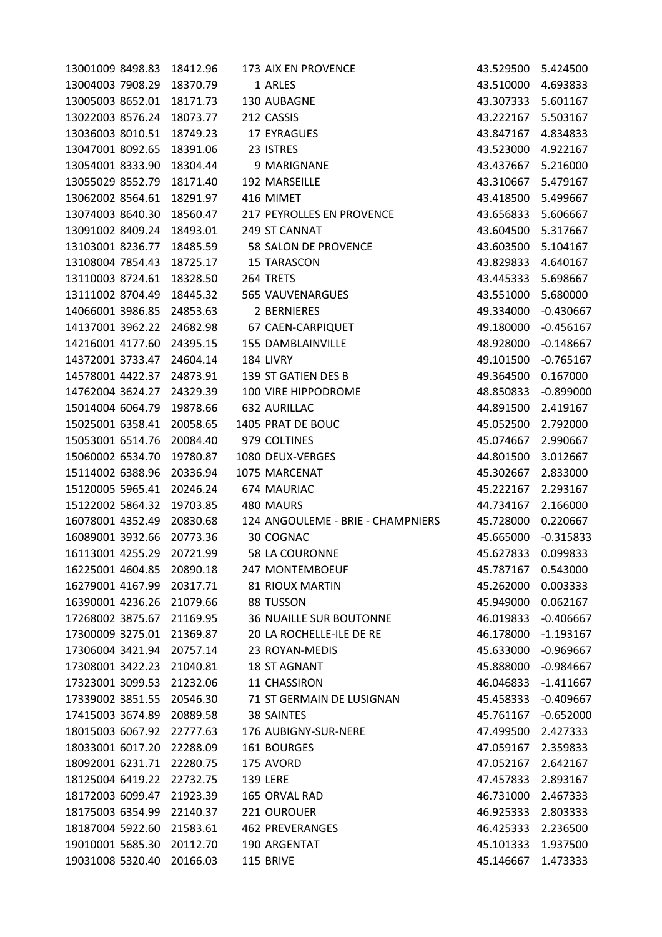| 13001009 8498.83          | 18412.96 | 173 AIX EN PROVENCE               | 43.529500 | 5.424500    |
|---------------------------|----------|-----------------------------------|-----------|-------------|
| 13004003 7908.29          | 18370.79 | 1 ARLES                           | 43.510000 | 4.693833    |
| 13005003 8652.01          | 18171.73 | 130 AUBAGNE                       | 43.307333 | 5.601167    |
| 13022003 8576.24          | 18073.77 | 212 CASSIS                        | 43.222167 | 5.503167    |
| 13036003 8010.51          | 18749.23 | 17 EYRAGUES                       | 43.847167 | 4.834833    |
| 13047001 8092.65          | 18391.06 | 23 ISTRES                         | 43.523000 | 4.922167    |
| 13054001 8333.90          | 18304.44 | 9 MARIGNANE                       | 43.437667 | 5.216000    |
| 13055029 8552.79          | 18171.40 | 192 MARSEILLE                     | 43.310667 | 5.479167    |
| 13062002 8564.61          | 18291.97 | 416 MIMET                         | 43.418500 | 5.499667    |
| 13074003 8640.30          | 18560.47 | 217 PEYROLLES EN PROVENCE         | 43.656833 | 5.606667    |
| 13091002 8409.24          | 18493.01 | 249 ST CANNAT                     | 43.604500 | 5.317667    |
| 13103001 8236.77          | 18485.59 | 58 SALON DE PROVENCE              | 43.603500 | 5.104167    |
| 13108004 7854.43          | 18725.17 | 15 TARASCON                       | 43.829833 | 4.640167    |
| 13110003 8724.61          | 18328.50 | 264 TRETS                         | 43.445333 | 5.698667    |
| 13111002 8704.49          | 18445.32 | 565 VAUVENARGUES                  | 43.551000 | 5.680000    |
| 14066001 3986.85          | 24853.63 | 2 BERNIERES                       | 49.334000 | $-0.430667$ |
| 14137001 3962.22          | 24682.98 | 67 CAEN-CARPIQUET                 | 49.180000 | $-0.456167$ |
| 14216001 4177.60          | 24395.15 | <b>155 DAMBLAINVILLE</b>          | 48.928000 | $-0.148667$ |
| 14372001 3733.47          | 24604.14 | 184 LIVRY                         | 49.101500 | $-0.765167$ |
| 14578001 4422.37          | 24873.91 | 139 ST GATIEN DES B               | 49.364500 | 0.167000    |
| 14762004 3624.27          | 24329.39 | 100 VIRE HIPPODROME               | 48.850833 | $-0.899000$ |
| 15014004 6064.79          | 19878.66 | 632 AURILLAC                      | 44.891500 | 2.419167    |
| 15025001 6358.41          | 20058.65 | 1405 PRAT DE BOUC                 | 45.052500 | 2.792000    |
| 15053001 6514.76          | 20084.40 | 979 COLTINES                      | 45.074667 | 2.990667    |
| 15060002 6534.70          | 19780.87 | 1080 DEUX-VERGES                  | 44.801500 | 3.012667    |
| 15114002 6388.96          | 20336.94 | 1075 MARCENAT                     | 45.302667 | 2.833000    |
| 15120005 5965.41          | 20246.24 | 674 MAURIAC                       | 45.222167 | 2.293167    |
| 15122002 5864.32          | 19703.85 | 480 MAURS                         | 44.734167 | 2.166000    |
| 16078001 4352.49          | 20830.68 | 124 ANGOULEME - BRIE - CHAMPNIERS | 45.728000 | 0.220667    |
| 16089001 3932.66          | 20773.36 | 30 COGNAC                         | 45.665000 | $-0.315833$ |
| 16113001 4255.29          | 20721.99 | 58 LA COURONNE                    | 45.627833 | 0.099833    |
| 16225001 4604.85          | 20890.18 | 247 MONTEMBOEUF                   | 45.787167 | 0.543000    |
| 16279001 4167.99          | 20317.71 | 81 RIOUX MARTIN                   | 45.262000 | 0.003333    |
| 16390001 4236.26          | 21079.66 | 88 TUSSON                         | 45.949000 | 0.062167    |
| 17268002 3875.67 21169.95 |          | <b>36 NUAILLE SUR BOUTONNE</b>    | 46.019833 | $-0.406667$ |
| 17300009 3275.01          | 21369.87 | 20 LA ROCHELLE-ILE DE RE          | 46.178000 | $-1.193167$ |
| 17306004 3421.94          | 20757.14 | 23 ROYAN-MEDIS                    | 45.633000 | $-0.969667$ |
| 17308001 3422.23          | 21040.81 | <b>18 ST AGNANT</b>               | 45.888000 | $-0.984667$ |
| 17323001 3099.53          | 21232.06 | 11 CHASSIRON                      | 46.046833 | $-1.411667$ |
| 17339002 3851.55          | 20546.30 | 71 ST GERMAIN DE LUSIGNAN         | 45.458333 | $-0.409667$ |
| 17415003 3674.89          | 20889.58 | <b>38 SAINTES</b>                 | 45.761167 | $-0.652000$ |
| 18015003 6067.92          | 22777.63 | 176 AUBIGNY-SUR-NERE              | 47.499500 | 2.427333    |
| 18033001 6017.20          | 22288.09 | 161 BOURGES                       | 47.059167 | 2.359833    |
| 18092001 6231.71          | 22280.75 | 175 AVORD                         | 47.052167 | 2.642167    |
| 18125004 6419.22          | 22732.75 | <b>139 LERE</b>                   | 47.457833 | 2.893167    |
| 18172003 6099.47          | 21923.39 | 165 ORVAL RAD                     | 46.731000 | 2.467333    |
| 18175003 6354.99          | 22140.37 | 221 OUROUER                       | 46.925333 | 2.803333    |
| 18187004 5922.60          | 21583.61 | <b>462 PREVERANGES</b>            | 46.425333 | 2.236500    |
| 19010001 5685.30          | 20112.70 | 190 ARGENTAT                      | 45.101333 | 1.937500    |
| 19031008 5320.40          | 20166.03 | 115 BRIVE                         | 45.146667 | 1.473333    |
|                           |          |                                   |           |             |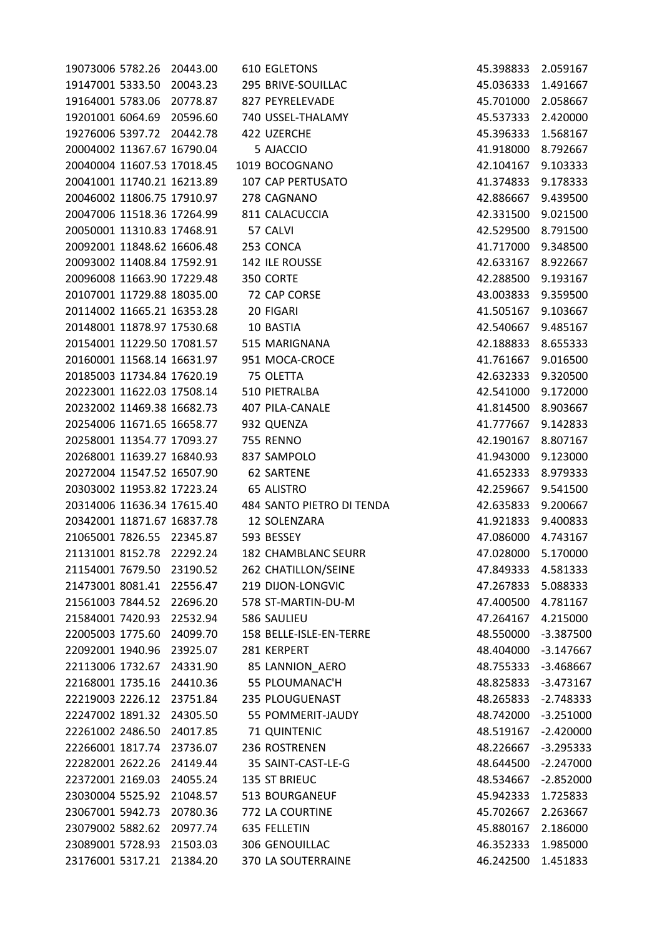| 19073006 5782.26 20443.00  |                            | 610 EGLETONS               | 45.398833 2.059167 |             |
|----------------------------|----------------------------|----------------------------|--------------------|-------------|
| 19147001 5333.50 20043.23  |                            | 295 BRIVE-SOUILLAC         | 45.036333 1.491667 |             |
|                            | 19164001 5783.06 20778.87  | 827 PEYRELEVADE            | 45.701000          | 2.058667    |
| 19201001 6064.69 20596.60  |                            | 740 USSEL-THALAMY          | 45.537333 2.420000 |             |
| 19276006 5397.72 20442.78  |                            | 422 UZERCHE                | 45.396333          | 1.568167    |
| 20004002 11367.67 16790.04 |                            | 5 AJACCIO                  | 41.918000          | 8.792667    |
| 20040004 11607.53 17018.45 |                            | 1019 BOCOGNANO             | 42.104167          | 9.103333    |
| 20041001 11740.21 16213.89 |                            | 107 CAP PERTUSATO          | 41.374833          | 9.178333    |
| 20046002 11806.75 17910.97 |                            | 278 CAGNANO                | 42.886667          | 9.439500    |
| 20047006 11518.36 17264.99 |                            | 811 CALACUCCIA             | 42.331500          | 9.021500    |
| 20050001 11310.83 17468.91 |                            | 57 CALVI                   | 42.529500 8.791500 |             |
| 20092001 11848.62 16606.48 |                            | 253 CONCA                  | 41.717000          | 9.348500    |
| 20093002 11408.84 17592.91 |                            | 142 ILE ROUSSE             | 42.633167          | 8.922667    |
| 20096008 11663.90 17229.48 |                            | 350 CORTE                  | 42.288500          | 9.193167    |
| 20107001 11729.88 18035.00 |                            | 72 CAP CORSE               | 43.003833          | 9.359500    |
| 20114002 11665.21 16353.28 |                            | 20 FIGARI                  | 41.505167          | 9.103667    |
| 20148001 11878.97 17530.68 |                            | 10 BASTIA                  | 42.540667          | 9.485167    |
|                            | 20154001 11229.50 17081.57 | 515 MARIGNANA              | 42.188833 8.655333 |             |
| 20160001 11568.14 16631.97 |                            | 951 MOCA-CROCE             | 41.761667          | 9.016500    |
| 20185003 11734.84 17620.19 |                            | 75 OLETTA                  | 42.632333          | 9.320500    |
| 20223001 11622.03 17508.14 |                            | 510 PIETRALBA              | 42.541000 9.172000 |             |
| 20232002 11469.38 16682.73 |                            | 407 PILA-CANALE            | 41.814500          | 8.903667    |
| 20254006 11671.65 16658.77 |                            | 932 QUENZA                 | 41.777667          | 9.142833    |
| 20258001 11354.77 17093.27 |                            | 755 RENNO                  | 42.190167          | 8.807167    |
| 20268001 11639.27 16840.93 |                            | 837 SAMPOLO                | 41.943000          | 9.123000    |
| 20272004 11547.52 16507.90 |                            | <b>62 SARTENE</b>          | 41.652333          | 8.979333    |
| 20303002 11953.82 17223.24 |                            | 65 ALISTRO                 | 42.259667          | 9.541500    |
| 20314006 11636.34 17615.40 |                            | 484 SANTO PIETRO DI TENDA  | 42.635833          | 9.200667    |
| 20342001 11871.67 16837.78 |                            | 12 SOLENZARA               | 41.921833          | 9.400833    |
| 21065001 7826.55 22345.87  |                            | 593 BESSEY                 | 47.086000 4.743167 |             |
| 21131001 8152.78 22292.24  |                            | <b>182 CHAMBLANC SEURR</b> | 47.028000 5.170000 |             |
| 21154001 7679.50           | 23190.52                   | 262 CHATILLON/SEINE        | 47.849333          | 4.581333    |
| 21473001 8081.41           | 22556.47                   | 219 DIJON-LONGVIC          | 47.267833          | 5.088333    |
| 21561003 7844.52           | 22696.20                   | 578 ST-MARTIN-DU-M         | 47.400500          | 4.781167    |
| 21584001 7420.93           | 22532.94                   | 586 SAULIEU                | 47.264167          | 4.215000    |
| 22005003 1775.60           | 24099.70                   | 158 BELLE-ISLE-EN-TERRE    | 48.550000          | $-3.387500$ |
| 22092001 1940.96           | 23925.07                   | 281 KERPERT                | 48.404000          | $-3.147667$ |
| 22113006 1732.67           | 24331.90                   | 85 LANNION_AERO            | 48.755333          | $-3.468667$ |
| 22168001 1735.16           | 24410.36                   | 55 PLOUMANAC'H             | 48.825833          | $-3.473167$ |
| 22219003 2226.12           | 23751.84                   | 235 PLOUGUENAST            | 48.265833          | $-2.748333$ |
| 22247002 1891.32           | 24305.50                   | 55 POMMERIT-JAUDY          | 48.742000          | $-3.251000$ |
| 22261002 2486.50           | 24017.85                   | 71 QUINTENIC               | 48.519167          | $-2.420000$ |
| 22266001 1817.74           | 23736.07                   | 236 ROSTRENEN              | 48.226667          | $-3.295333$ |
| 22282001 2622.26           | 24149.44                   | 35 SAINT-CAST-LE-G         | 48.644500          | $-2.247000$ |
| 22372001 2169.03           | 24055.24                   | 135 ST BRIEUC              | 48.534667          | $-2.852000$ |
| 23030004 5525.92           | 21048.57                   | 513 BOURGANEUF             | 45.942333          | 1.725833    |
| 23067001 5942.73           | 20780.36                   | 772 LA COURTINE            | 45.702667          | 2.263667    |
| 23079002 5882.62           | 20977.74                   | 635 FELLETIN               | 45.880167          | 2.186000    |
| 23089001 5728.93           | 21503.03                   | 306 GENOUILLAC             | 46.352333          | 1.985000    |
| 23176001 5317.21           | 21384.20                   | 370 LA SOUTERRAINE         | 46.242500          | 1.451833    |
|                            |                            |                            |                    |             |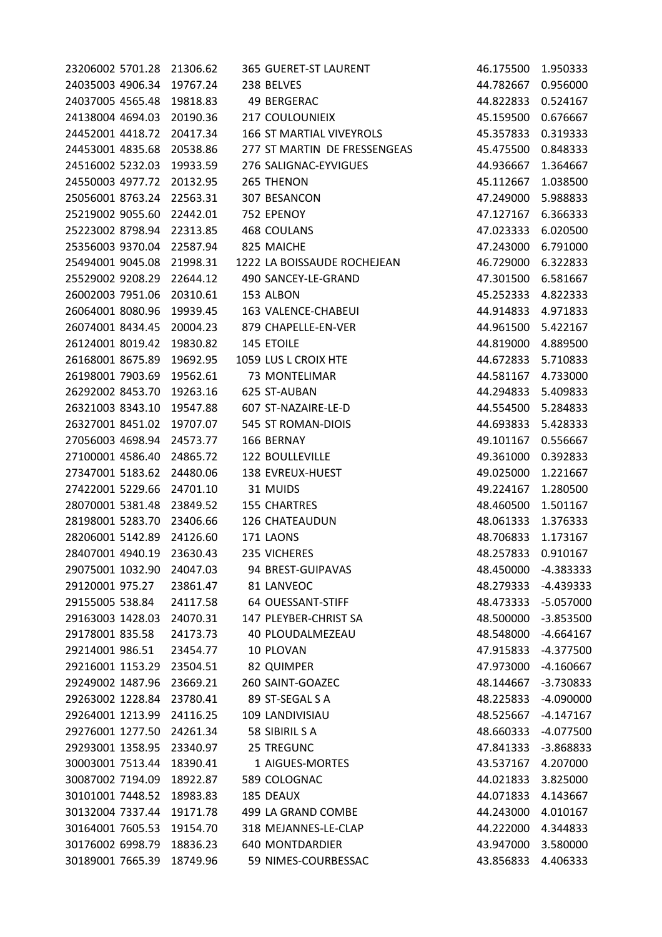| 23206002 5701.28 21306.62 |          | 365 GUERET-ST LAURENT        | 46.175500 | 1.950333    |
|---------------------------|----------|------------------------------|-----------|-------------|
| 24035003 4906.34          | 19767.24 | 238 BELVES                   | 44.782667 | 0.956000    |
| 24037005 4565.48          | 19818.83 | 49 BERGERAC                  | 44.822833 | 0.524167    |
| 24138004 4694.03          | 20190.36 | <b>217 COULOUNIEIX</b>       | 45.159500 | 0.676667    |
| 24452001 4418.72          | 20417.34 | 166 ST MARTIAL VIVEYROLS     | 45.357833 | 0.319333    |
| 24453001 4835.68          | 20538.86 | 277 ST MARTIN DE FRESSENGEAS | 45.475500 | 0.848333    |
| 24516002 5232.03          | 19933.59 | 276 SALIGNAC-EYVIGUES        | 44.936667 | 1.364667    |
| 24550003 4977.72          | 20132.95 | 265 THENON                   | 45.112667 | 1.038500    |
| 25056001 8763.24          | 22563.31 | 307 BESANCON                 | 47.249000 | 5.988833    |
| 25219002 9055.60          | 22442.01 | 752 EPENOY                   | 47.127167 | 6.366333    |
| 25223002 8798.94          | 22313.85 | 468 COULANS                  | 47.023333 | 6.020500    |
| 25356003 9370.04          | 22587.94 | 825 MAICHE                   | 47.243000 | 6.791000    |
| 25494001 9045.08          | 21998.31 | 1222 LA BOISSAUDE ROCHEJEAN  | 46.729000 | 6.322833    |
| 25529002 9208.29          | 22644.12 | 490 SANCEY-LE-GRAND          | 47.301500 | 6.581667    |
| 26002003 7951.06          | 20310.61 | 153 ALBON                    | 45.252333 | 4.822333    |
| 26064001 8080.96          | 19939.45 | 163 VALENCE-CHABEUI          | 44.914833 | 4.971833    |
| 26074001 8434.45          | 20004.23 | 879 CHAPELLE-EN-VER          | 44.961500 | 5.422167    |
| 26124001 8019.42          | 19830.82 | 145 ETOILE                   | 44.819000 | 4.889500    |
| 26168001 8675.89          | 19692.95 | 1059 LUS L CROIX HTE         | 44.672833 | 5.710833    |
| 26198001 7903.69          | 19562.61 | 73 MONTELIMAR                | 44.581167 | 4.733000    |
| 26292002 8453.70          | 19263.16 | 625 ST-AUBAN                 | 44.294833 | 5.409833    |
| 26321003 8343.10          | 19547.88 | 607 ST-NAZAIRE-LE-D          | 44.554500 | 5.284833    |
| 26327001 8451.02          | 19707.07 | 545 ST ROMAN-DIOIS           | 44.693833 | 5.428333    |
| 27056003 4698.94          | 24573.77 | 166 BERNAY                   | 49.101167 | 0.556667    |
| 27100001 4586.40          | 24865.72 | <b>122 BOULLEVILLE</b>       | 49.361000 | 0.392833    |
| 27347001 5183.62          | 24480.06 | 138 EVREUX-HUEST             | 49.025000 | 1.221667    |
| 27422001 5229.66          | 24701.10 | 31 MUIDS                     | 49.224167 | 1.280500    |
| 28070001 5381.48          | 23849.52 | 155 CHARTRES                 | 48.460500 | 1.501167    |
| 28198001 5283.70          | 23406.66 | 126 CHATEAUDUN               | 48.061333 | 1.376333    |
| 28206001 5142.89          | 24126.60 | 171 LAONS                    | 48.706833 | 1.173167    |
| 28407001 4940.19          | 23630.43 | 235 VICHERES                 | 48.257833 | 0.910167    |
| 29075001 1032.90          | 24047.03 | 94 BREST-GUIPAVAS            | 48.450000 | -4.383333   |
| 29120001 975.27           | 23861.47 | 81 LANVEOC                   | 48.279333 | -4.439333   |
| 29155005 538.84           | 24117.58 | 64 OUESSANT-STIFF            | 48.473333 | $-5.057000$ |
| 29163003 1428.03 24070.31 |          | 147 PLEYBER-CHRIST SA        | 48.500000 | $-3.853500$ |
| 29178001 835.58           | 24173.73 | 40 PLOUDALMEZEAU             | 48.548000 | $-4.664167$ |
| 29214001 986.51           | 23454.77 | 10 PLOVAN                    | 47.915833 | $-4.377500$ |
| 29216001 1153.29          | 23504.51 | 82 QUIMPER                   | 47.973000 | $-4.160667$ |
| 29249002 1487.96          | 23669.21 | 260 SAINT-GOAZEC             | 48.144667 | $-3.730833$ |
| 29263002 1228.84          | 23780.41 | 89 ST-SEGAL S A              | 48.225833 | $-4.090000$ |
| 29264001 1213.99          | 24116.25 | 109 LANDIVISIAU              | 48.525667 | $-4.147167$ |
| 29276001 1277.50          | 24261.34 | 58 SIBIRIL S A               | 48.660333 | $-4.077500$ |
| 29293001 1358.95          | 23340.97 | 25 TREGUNC                   | 47.841333 | -3.868833   |
| 30003001 7513.44          | 18390.41 | 1 AIGUES-MORTES              | 43.537167 | 4.207000    |
| 30087002 7194.09          | 18922.87 | 589 COLOGNAC                 | 44.021833 | 3.825000    |
| 30101001 7448.52          | 18983.83 | 185 DEAUX                    | 44.071833 | 4.143667    |
| 30132004 7337.44          | 19171.78 | 499 LA GRAND COMBE           | 44.243000 | 4.010167    |
| 30164001 7605.53          | 19154.70 | 318 MEJANNES-LE-CLAP         | 44.222000 | 4.344833    |
| 30176002 6998.79          | 18836.23 | <b>640 MONTDARDIER</b>       | 43.947000 | 3.580000    |
| 30189001 7665.39          | 18749.96 | 59 NIMES-COURBESSAC          | 43.856833 | 4.406333    |
|                           |          |                              |           |             |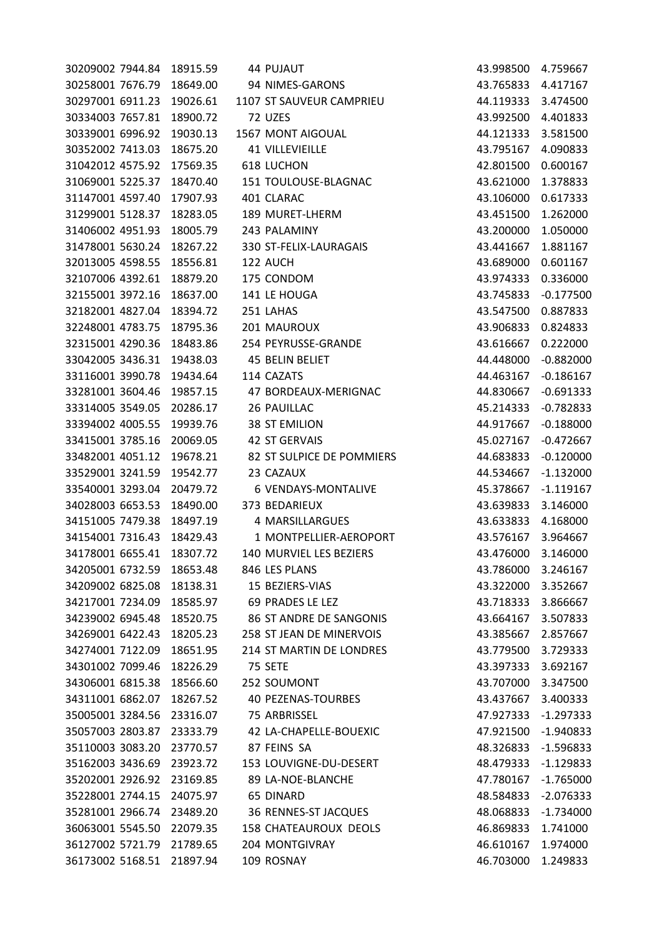| 30209002 7944.84 | 18915.59 | 44 PUJAUT                    | 43.998500 | 4.759667    |
|------------------|----------|------------------------------|-----------|-------------|
| 30258001 7676.79 | 18649.00 | 94 NIMES-GARONS              | 43.765833 | 4.417167    |
| 30297001 6911.23 | 19026.61 | 1107 ST SAUVEUR CAMPRIEU     | 44.119333 | 3.474500    |
| 30334003 7657.81 | 18900.72 | 72 UZES                      | 43.992500 | 4.401833    |
| 30339001 6996.92 | 19030.13 | 1567 MONT AIGOUAL            | 44.121333 | 3.581500    |
| 30352002 7413.03 | 18675.20 | <b>41 VILLEVIEILLE</b>       | 43.795167 | 4.090833    |
| 31042012 4575.92 | 17569.35 | <b>618 LUCHON</b>            | 42.801500 | 0.600167    |
| 31069001 5225.37 | 18470.40 | 151 TOULOUSE-BLAGNAC         | 43.621000 | 1.378833    |
| 31147001 4597.40 | 17907.93 | 401 CLARAC                   | 43.106000 | 0.617333    |
| 31299001 5128.37 | 18283.05 | 189 MURET-LHERM              | 43.451500 | 1.262000    |
| 31406002 4951.93 | 18005.79 | 243 PALAMINY                 | 43.200000 | 1.050000    |
| 31478001 5630.24 | 18267.22 | 330 ST-FELIX-LAURAGAIS       | 43.441667 | 1.881167    |
| 32013005 4598.55 | 18556.81 | 122 AUCH                     | 43.689000 | 0.601167    |
| 32107006 4392.61 | 18879.20 | 175 CONDOM                   | 43.974333 | 0.336000    |
| 32155001 3972.16 | 18637.00 | 141 LE HOUGA                 | 43.745833 | $-0.177500$ |
| 32182001 4827.04 | 18394.72 | 251 LAHAS                    | 43.547500 | 0.887833    |
| 32248001 4783.75 | 18795.36 | 201 MAUROUX                  | 43.906833 | 0.824833    |
| 32315001 4290.36 | 18483.86 | 254 PEYRUSSE-GRANDE          | 43.616667 | 0.222000    |
| 33042005 3436.31 | 19438.03 | 45 BELIN BELIET              | 44.448000 | $-0.882000$ |
| 33116001 3990.78 | 19434.64 | 114 CAZATS                   | 44.463167 | $-0.186167$ |
| 33281001 3604.46 | 19857.15 | 47 BORDEAUX-MERIGNAC         | 44.830667 | $-0.691333$ |
| 33314005 3549.05 | 20286.17 | 26 PAUILLAC                  | 45.214333 | $-0.782833$ |
| 33394002 4005.55 | 19939.76 | <b>38 ST EMILION</b>         | 44.917667 | $-0.188000$ |
| 33415001 3785.16 | 20069.05 | <b>42 ST GERVAIS</b>         | 45.027167 | $-0.472667$ |
| 33482001 4051.12 | 19678.21 | 82 ST SULPICE DE POMMIERS    | 44.683833 | $-0.120000$ |
| 33529001 3241.59 | 19542.77 | 23 CAZAUX                    | 44.534667 | $-1.132000$ |
| 33540001 3293.04 | 20479.72 | 6 VENDAYS-MONTALIVE          | 45.378667 | $-1.119167$ |
| 34028003 6653.53 | 18490.00 | 373 BEDARIEUX                | 43.639833 | 3.146000    |
| 34151005 7479.38 | 18497.19 | 4 MARSILLARGUES              | 43.633833 | 4.168000    |
| 34154001 7316.43 | 18429.43 | 1 MONTPELLIER-AEROPORT       | 43.576167 | 3.964667    |
| 34178001 6655.41 | 18307.72 | 140 MURVIEL LES BEZIERS      | 43.476000 | 3.146000    |
| 34205001 6732.59 | 18653.48 | 846 LES PLANS                | 43.786000 | 3.246167    |
| 34209002 6825.08 | 18138.31 | 15 BEZIERS-VIAS              | 43.322000 | 3.352667    |
| 34217001 7234.09 | 18585.97 | 69 PRADES LE LEZ             | 43.718333 | 3.866667    |
| 34239002 6945.48 | 18520.75 | 86 ST ANDRE DE SANGONIS      | 43.664167 | 3.507833    |
| 34269001 6422.43 | 18205.23 | 258 ST JEAN DE MINERVOIS     | 43.385667 | 2.857667    |
| 34274001 7122.09 | 18651.95 | 214 ST MARTIN DE LONDRES     | 43.779500 | 3.729333    |
| 34301002 7099.46 | 18226.29 | 75 SETE                      | 43.397333 | 3.692167    |
| 34306001 6815.38 | 18566.60 | 252 SOUMONT                  | 43.707000 | 3.347500    |
| 34311001 6862.07 | 18267.52 | <b>40 PEZENAS-TOURBES</b>    | 43.437667 | 3.400333    |
| 35005001 3284.56 | 23316.07 | 75 ARBRISSEL                 | 47.927333 | $-1.297333$ |
| 35057003 2803.87 | 23333.79 | 42 LA-CHAPELLE-BOUEXIC       | 47.921500 | $-1.940833$ |
| 35110003 3083.20 | 23770.57 | 87 FEINS SA                  | 48.326833 | $-1.596833$ |
| 35162003 3436.69 | 23923.72 | 153 LOUVIGNE-DU-DESERT       | 48.479333 | $-1.129833$ |
| 35202001 2926.92 | 23169.85 | 89 LA-NOE-BLANCHE            | 47.780167 | $-1.765000$ |
| 35228001 2744.15 | 24075.97 | <b>65 DINARD</b>             | 48.584833 | $-2.076333$ |
| 35281001 2966.74 | 23489.20 | 36 RENNES-ST JACQUES         | 48.068833 | $-1.734000$ |
| 36063001 5545.50 | 22079.35 | <b>158 CHATEAUROUX DEOLS</b> | 46.869833 | 1.741000    |
| 36127002 5721.79 | 21789.65 | 204 MONTGIVRAY               | 46.610167 | 1.974000    |
| 36173002 5168.51 | 21897.94 | 109 ROSNAY                   | 46.703000 | 1.249833    |
|                  |          |                              |           |             |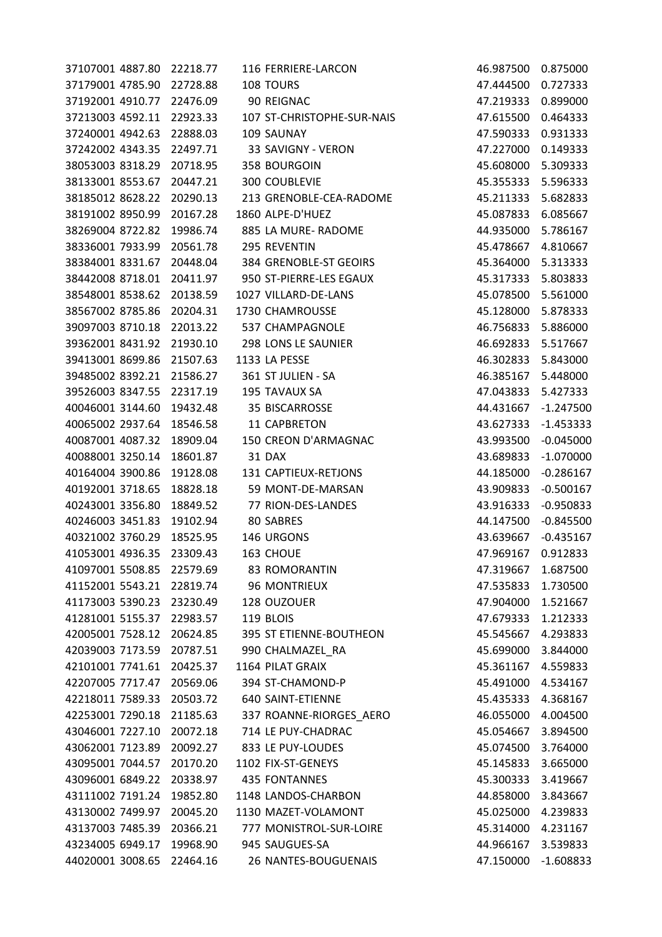| 37107001 4887.80 | 22218.77 | 116 FERRIERE-LARCON        | 46.987500 | 0.875000    |
|------------------|----------|----------------------------|-----------|-------------|
| 37179001 4785.90 | 22728.88 | 108 TOURS                  | 47.444500 | 0.727333    |
| 37192001 4910.77 | 22476.09 | 90 REIGNAC                 | 47.219333 | 0.899000    |
| 37213003 4592.11 | 22923.33 | 107 ST-CHRISTOPHE-SUR-NAIS | 47.615500 | 0.464333    |
| 37240001 4942.63 | 22888.03 | 109 SAUNAY                 | 47.590333 | 0.931333    |
| 37242002 4343.35 | 22497.71 | 33 SAVIGNY - VERON         | 47.227000 | 0.149333    |
| 38053003 8318.29 | 20718.95 | 358 BOURGOIN               | 45.608000 | 5.309333    |
| 38133001 8553.67 | 20447.21 | 300 COUBLEVIE              | 45.355333 | 5.596333    |
| 38185012 8628.22 | 20290.13 | 213 GRENOBLE-CEA-RADOME    | 45.211333 | 5.682833    |
| 38191002 8950.99 | 20167.28 | 1860 ALPE-D'HUEZ           | 45.087833 | 6.085667    |
| 38269004 8722.82 | 19986.74 | 885 LA MURE-RADOME         | 44.935000 | 5.786167    |
| 38336001 7933.99 | 20561.78 | 295 REVENTIN               | 45.478667 | 4.810667    |
| 38384001 8331.67 | 20448.04 | 384 GRENOBLE-ST GEOIRS     | 45.364000 | 5.313333    |
| 38442008 8718.01 | 20411.97 | 950 ST-PIERRE-LES EGAUX    | 45.317333 | 5.803833    |
| 38548001 8538.62 | 20138.59 | 1027 VILLARD-DE-LANS       | 45.078500 | 5.561000    |
| 38567002 8785.86 | 20204.31 | 1730 CHAMROUSSE            | 45.128000 | 5.878333    |
| 39097003 8710.18 | 22013.22 | 537 CHAMPAGNOLE            | 46.756833 | 5.886000    |
| 39362001 8431.92 | 21930.10 | 298 LONS LE SAUNIER        | 46.692833 | 5.517667    |
| 39413001 8699.86 | 21507.63 | 1133 LA PESSE              | 46.302833 | 5.843000    |
| 39485002 8392.21 | 21586.27 | 361 ST JULIEN - SA         | 46.385167 | 5.448000    |
| 39526003 8347.55 | 22317.19 | 195 TAVAUX SA              | 47.043833 | 5.427333    |
| 40046001 3144.60 | 19432.48 | 35 BISCARROSSE             | 44.431667 | $-1.247500$ |
| 40065002 2937.64 | 18546.58 | 11 CAPBRETON               | 43.627333 | $-1.453333$ |
| 40087001 4087.32 | 18909.04 | 150 CREON D'ARMAGNAC       | 43.993500 | $-0.045000$ |
| 40088001 3250.14 | 18601.87 | 31 DAX                     | 43.689833 | $-1.070000$ |
| 40164004 3900.86 | 19128.08 | 131 CAPTIEUX-RETJONS       | 44.185000 | $-0.286167$ |
| 40192001 3718.65 | 18828.18 | 59 MONT-DE-MARSAN          | 43.909833 | $-0.500167$ |
| 40243001 3356.80 | 18849.52 | 77 RION-DES-LANDES         | 43.916333 | $-0.950833$ |
| 40246003 3451.83 | 19102.94 | 80 SABRES                  | 44.147500 | $-0.845500$ |
| 40321002 3760.29 | 18525.95 | 146 URGONS                 | 43.639667 | $-0.435167$ |
| 41053001 4936.35 | 23309.43 | 163 CHOUE                  | 47.969167 | 0.912833    |
| 41097001 5508.85 | 22579.69 | 83 ROMORANTIN              | 47.319667 | 1.687500    |
| 41152001 5543.21 | 22819.74 | <b>96 MONTRIEUX</b>        | 47.535833 | 1.730500    |
| 41173003 5390.23 | 23230.49 | 128 OUZOUER                | 47.904000 | 1.521667    |
| 41281001 5155.37 | 22983.57 | 119 BLOIS                  | 47.679333 | 1.212333    |
| 42005001 7528.12 | 20624.85 | 395 ST ETIENNE-BOUTHEON    | 45.545667 | 4.293833    |
| 42039003 7173.59 | 20787.51 | 990 CHALMAZEL RA           | 45.699000 | 3.844000    |
| 42101001 7741.61 | 20425.37 | 1164 PILAT GRAIX           | 45.361167 | 4.559833    |
| 42207005 7717.47 | 20569.06 | 394 ST-CHAMOND-P           | 45.491000 | 4.534167    |
| 42218011 7589.33 | 20503.72 | 640 SAINT-ETIENNE          | 45.435333 | 4.368167    |
| 42253001 7290.18 | 21185.63 | 337 ROANNE-RIORGES AERO    | 46.055000 | 4.004500    |
| 43046001 7227.10 | 20072.18 | 714 LE PUY-CHADRAC         | 45.054667 | 3.894500    |
| 43062001 7123.89 | 20092.27 | 833 LE PUY-LOUDES          | 45.074500 | 3.764000    |
| 43095001 7044.57 | 20170.20 | 1102 FIX-ST-GENEYS         | 45.145833 | 3.665000    |
| 43096001 6849.22 | 20338.97 | <b>435 FONTANNES</b>       | 45.300333 | 3.419667    |
| 43111002 7191.24 | 19852.80 | 1148 LANDOS-CHARBON        | 44.858000 | 3.843667    |
| 43130002 7499.97 | 20045.20 | 1130 MAZET-VOLAMONT        | 45.025000 | 4.239833    |
| 43137003 7485.39 | 20366.21 | 777 MONISTROL-SUR-LOIRE    | 45.314000 | 4.231167    |
| 43234005 6949.17 | 19968.90 | 945 SAUGUES-SA             | 44.966167 | 3.539833    |
| 44020001 3008.65 | 22464.16 | 26 NANTES-BOUGUENAIS       | 47.150000 | $-1.608833$ |
|                  |          |                            |           |             |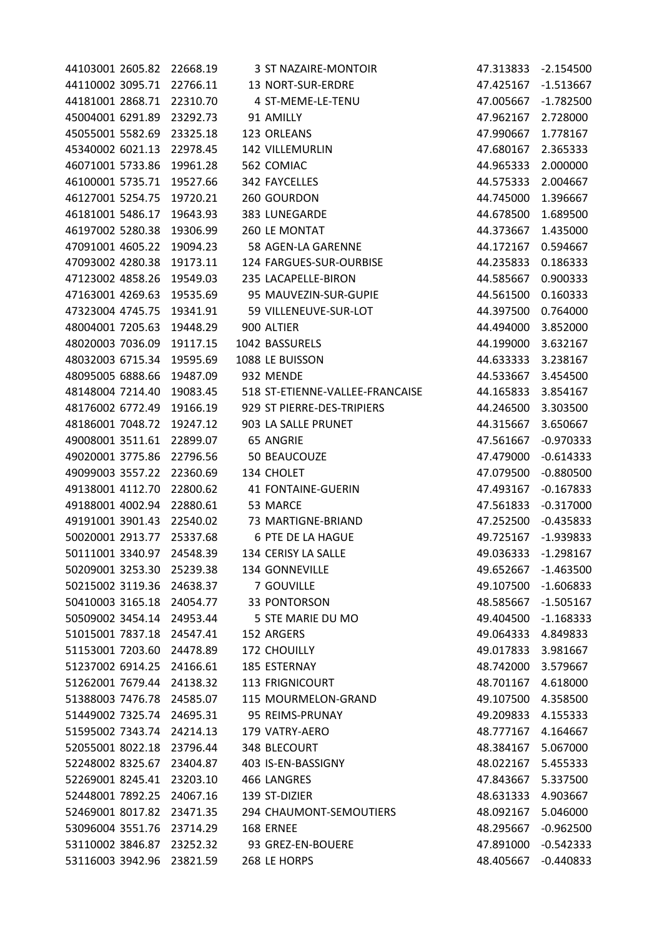| 44103001 2605.82 22668.19 |          | 3 ST NAZAIRE-MONTOIR            | 47.313833 -2.154500 |             |
|---------------------------|----------|---------------------------------|---------------------|-------------|
| 44110002 3095.71 22766.11 |          | 13 NORT-SUR-ERDRE               | 47.425167 -1.513667 |             |
| 44181001 2868.71          | 22310.70 | 4 ST-MEME-LE-TENU               | 47.005667           | $-1.782500$ |
| 45004001 6291.89          | 23292.73 | 91 AMILLY                       | 47.962167           | 2.728000    |
| 45055001 5582.69          | 23325.18 | 123 ORLEANS                     | 47.990667           | 1.778167    |
| 45340002 6021.13          | 22978.45 | 142 VILLEMURLIN                 | 47.680167           | 2.365333    |
| 46071001 5733.86          | 19961.28 | 562 COMIAC                      | 44.965333           | 2.000000    |
| 46100001 5735.71          | 19527.66 | 342 FAYCELLES                   | 44.575333           | 2.004667    |
| 46127001 5254.75          | 19720.21 | 260 GOURDON                     | 44.745000           | 1.396667    |
| 46181001 5486.17          | 19643.93 | 383 LUNEGARDE                   | 44.678500           | 1.689500    |
| 46197002 5280.38          | 19306.99 | 260 LE MONTAT                   | 44.373667           | 1.435000    |
| 47091001 4605.22          | 19094.23 | 58 AGEN-LA GARENNE              | 44.172167           | 0.594667    |
| 47093002 4280.38          | 19173.11 | 124 FARGUES-SUR-OURBISE         | 44.235833           | 0.186333    |
| 47123002 4858.26          | 19549.03 | 235 LACAPELLE-BIRON             | 44.585667           | 0.900333    |
| 47163001 4269.63          | 19535.69 | 95 MAUVEZIN-SUR-GUPIE           | 44.561500           | 0.160333    |
| 47323004 4745.75          | 19341.91 | 59 VILLENEUVE-SUR-LOT           | 44.397500           | 0.764000    |
| 48004001 7205.63          | 19448.29 | 900 ALTIER                      | 44.494000           | 3.852000    |
| 48020003 7036.09          | 19117.15 | 1042 BASSURELS                  | 44.199000           | 3.632167    |
| 48032003 6715.34          | 19595.69 | 1088 LE BUISSON                 | 44.633333           | 3.238167    |
| 48095005 6888.66          | 19487.09 | 932 MENDE                       | 44.533667           | 3.454500    |
| 48148004 7214.40          | 19083.45 | 518 ST-ETIENNE-VALLEE-FRANCAISE | 44.165833           | 3.854167    |
| 48176002 6772.49          | 19166.19 | 929 ST PIERRE-DES-TRIPIERS      | 44.246500           | 3.303500    |
| 48186001 7048.72          | 19247.12 | 903 LA SALLE PRUNET             | 44.315667           | 3.650667    |
| 49008001 3511.61          | 22899.07 | 65 ANGRIE                       | 47.561667           | $-0.970333$ |
| 49020001 3775.86          | 22796.56 | 50 BEAUCOUZE                    | 47.479000           | $-0.614333$ |
| 49099003 3557.22          | 22360.69 | 134 CHOLET                      | 47.079500           | $-0.880500$ |
| 49138001 4112.70          | 22800.62 | 41 FONTAINE-GUERIN              | 47.493167           | $-0.167833$ |
| 49188001 4002.94          | 22880.61 | 53 MARCE                        | 47.561833           | $-0.317000$ |
| 49191001 3901.43          | 22540.02 | 73 MARTIGNE-BRIAND              | 47.252500           | $-0.435833$ |
| 50020001 2913.77          | 25337.68 | 6 PTE DE LA HAGUE               | 49.725167           | $-1.939833$ |
| 50111001 3340.97          | 24548.39 | 134 CERISY LA SALLE             | 49.036333           | $-1.298167$ |
| 50209001 3253.30          | 25239.38 | 134 GONNEVILLE                  | 49.652667           | $-1.463500$ |
| 50215002 3119.36          | 24638.37 | 7 GOUVILLE                      | 49.107500           | $-1.606833$ |
| 50410003 3165.18          | 24054.77 | 33 PONTORSON                    | 48.585667           | $-1.505167$ |
| 50509002 3454.14          | 24953.44 | 5 STE MARIE DU MO               | 49.404500           | $-1.168333$ |
| 51015001 7837.18          | 24547.41 | 152 ARGERS                      | 49.064333           | 4.849833    |
| 51153001 7203.60          | 24478.89 | 172 CHOUILLY                    | 49.017833           | 3.981667    |
| 51237002 6914.25          | 24166.61 | 185 ESTERNAY                    | 48.742000           | 3.579667    |
| 51262001 7679.44          | 24138.32 | 113 FRIGNICOURT                 | 48.701167           | 4.618000    |
| 51388003 7476.78          | 24585.07 | 115 MOURMELON-GRAND             | 49.107500           | 4.358500    |
| 51449002 7325.74          | 24695.31 | 95 REIMS-PRUNAY                 | 49.209833           | 4.155333    |
| 51595002 7343.74          | 24214.13 | 179 VATRY-AERO                  | 48.777167           | 4.164667    |
| 52055001 8022.18          | 23796.44 | 348 BLECOURT                    | 48.384167           | 5.067000    |
| 52248002 8325.67          | 23404.87 | 403 IS-EN-BASSIGNY              | 48.022167           | 5.455333    |
| 52269001 8245.41          | 23203.10 | 466 LANGRES                     | 47.843667           | 5.337500    |
| 52448001 7892.25          | 24067.16 | 139 ST-DIZIER                   | 48.631333           | 4.903667    |
| 52469001 8017.82          | 23471.35 | 294 CHAUMONT-SEMOUTIERS         | 48.092167           | 5.046000    |
| 53096004 3551.76          | 23714.29 | 168 ERNEE                       | 48.295667           | $-0.962500$ |
| 53110002 3846.87          | 23252.32 | 93 GREZ-EN-BOUERE               | 47.891000           | $-0.542333$ |
| 53116003 3942.96          | 23821.59 | 268 LE HORPS                    | 48.405667           | $-0.440833$ |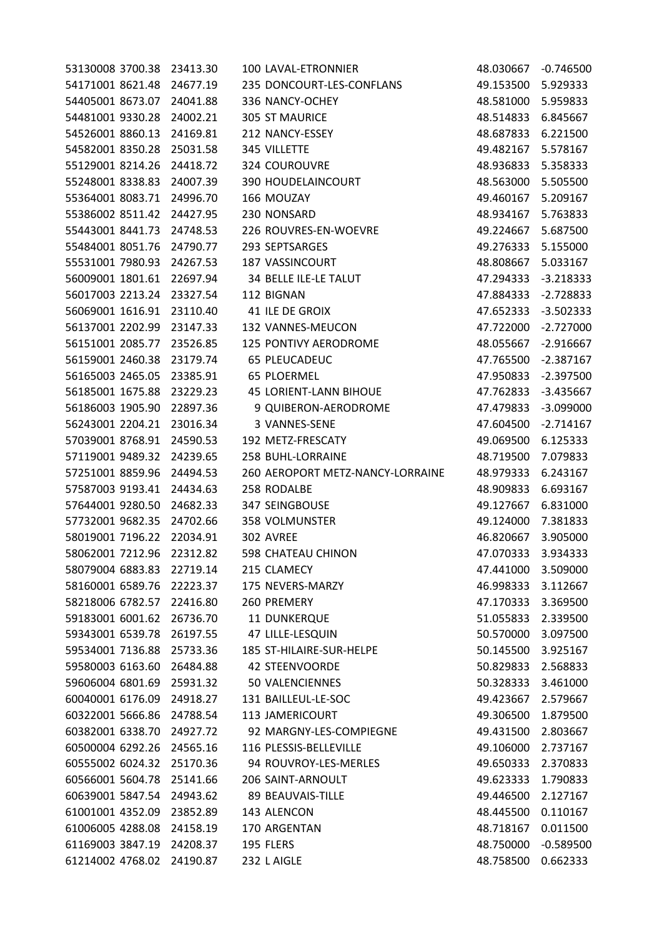| 53130008 3700.38 23413.30 |          | 100 LAVAL-ETRONNIER              | 48.030667 | $-0.746500$ |
|---------------------------|----------|----------------------------------|-----------|-------------|
| 54171001 8621.48 24677.19 |          | 235 DONCOURT-LES-CONFLANS        | 49.153500 | 5.929333    |
| 54405001 8673.07          | 24041.88 | 336 NANCY-OCHEY                  | 48.581000 | 5.959833    |
| 54481001 9330.28          | 24002.21 | <b>305 ST MAURICE</b>            | 48.514833 | 6.845667    |
| 54526001 8860.13          | 24169.81 | 212 NANCY-ESSEY                  | 48.687833 | 6.221500    |
| 54582001 8350.28          | 25031.58 | 345 VILLETTE                     | 49.482167 | 5.578167    |
| 55129001 8214.26          | 24418.72 | 324 COUROUVRE                    | 48.936833 | 5.358333    |
| 55248001 8338.83          | 24007.39 | 390 HOUDELAINCOURT               | 48.563000 | 5.505500    |
| 55364001 8083.71          | 24996.70 | 166 MOUZAY                       | 49.460167 | 5.209167    |
| 55386002 8511.42          | 24427.95 | 230 NONSARD                      | 48.934167 | 5.763833    |
| 55443001 8441.73          | 24748.53 | 226 ROUVRES-EN-WOEVRE            | 49.224667 | 5.687500    |
| 55484001 8051.76          | 24790.77 | 293 SEPTSARGES                   | 49.276333 | 5.155000    |
| 55531001 7980.93          | 24267.53 | 187 VASSINCOURT                  | 48.808667 | 5.033167    |
| 56009001 1801.61          | 22697.94 | 34 BELLE ILE-LE TALUT            | 47.294333 | $-3.218333$ |
| 56017003 2213.24          | 23327.54 | 112 BIGNAN                       | 47.884333 | $-2.728833$ |
| 56069001 1616.91          | 23110.40 | 41 ILE DE GROIX                  | 47.652333 | $-3.502333$ |
| 56137001 2202.99 23147.33 |          | 132 VANNES-MEUCON                | 47.722000 | $-2.727000$ |
| 56151001 2085.77          | 23526.85 | 125 PONTIVY AERODROME            | 48.055667 | $-2.916667$ |
| 56159001 2460.38          | 23179.74 | 65 PLEUCADEUC                    | 47.765500 | $-2.387167$ |
| 56165003 2465.05          | 23385.91 | <b>65 PLOERMEL</b>               | 47.950833 | $-2.397500$ |
| 56185001 1675.88          | 23229.23 | <b>45 LORIENT-LANN BIHOUE</b>    | 47.762833 | $-3.435667$ |
| 56186003 1905.90          | 22897.36 | 9 QUIBERON-AERODROME             | 47.479833 | $-3.099000$ |
| 56243001 2204.21          | 23016.34 | 3 VANNES-SENE                    | 47.604500 | $-2.714167$ |
| 57039001 8768.91          | 24590.53 | 192 METZ-FRESCATY                | 49.069500 | 6.125333    |
| 57119001 9489.32          | 24239.65 | 258 BUHL-LORRAINE                | 48.719500 | 7.079833    |
| 57251001 8859.96          | 24494.53 | 260 AEROPORT METZ-NANCY-LORRAINE | 48.979333 | 6.243167    |
| 57587003 9193.41          | 24434.63 | 258 RODALBE                      | 48.909833 | 6.693167    |
| 57644001 9280.50          | 24682.33 | <b>347 SEINGBOUSE</b>            | 49.127667 | 6.831000    |
| 57732001 9682.35          | 24702.66 | <b>358 VOLMUNSTER</b>            | 49.124000 | 7.381833    |
| 58019001 7196.22          | 22034.91 | 302 AVREE                        | 46.820667 | 3.905000    |
| 58062001 7212.96          | 22312.82 | 598 CHATEAU CHINON               | 47.070333 | 3.934333    |
| 58079004 6883.83          | 22719.14 | 215 CLAMECY                      | 47.441000 | 3.509000    |
| 58160001 6589.76          | 22223.37 | 175 NEVERS-MARZY                 | 46.998333 | 3.112667    |
| 58218006 6782.57          | 22416.80 | 260 PREMERY                      | 47.170333 | 3.369500    |
| 59183001 6001.62          | 26736.70 | 11 DUNKERQUE                     | 51.055833 | 2.339500    |
| 59343001 6539.78          | 26197.55 | 47 LILLE-LESQUIN                 | 50.570000 | 3.097500    |
| 59534001 7136.88          | 25733.36 | 185 ST-HILAIRE-SUR-HELPE         | 50.145500 | 3.925167    |
| 59580003 6163.60          | 26484.88 | <b>42 STEENVOORDE</b>            | 50.829833 | 2.568833    |
| 59606004 6801.69          | 25931.32 | 50 VALENCIENNES                  | 50.328333 | 3.461000    |
| 60040001 6176.09          | 24918.27 | 131 BAILLEUL-LE-SOC              | 49.423667 | 2.579667    |
| 60322001 5666.86          | 24788.54 | 113 JAMERICOURT                  | 49.306500 | 1.879500    |
| 60382001 6338.70          | 24927.72 | 92 MARGNY-LES-COMPIEGNE          | 49.431500 | 2.803667    |
| 60500004 6292.26          | 24565.16 | 116 PLESSIS-BELLEVILLE           | 49.106000 | 2.737167    |
| 60555002 6024.32          | 25170.36 | 94 ROUVROY-LES-MERLES            | 49.650333 | 2.370833    |
| 60566001 5604.78          | 25141.66 | 206 SAINT-ARNOULT                | 49.623333 | 1.790833    |
| 60639001 5847.54          | 24943.62 | 89 BEAUVAIS-TILLE                | 49.446500 | 2.127167    |
| 61001001 4352.09          | 23852.89 | 143 ALENCON                      | 48.445500 | 0.110167    |
| 61006005 4288.08          | 24158.19 | 170 ARGENTAN                     | 48.718167 | 0.011500    |
| 61169003 3847.19          | 24208.37 | 195 FLERS                        | 48.750000 | $-0.589500$ |
| 61214002 4768.02          | 24190.87 | 232 L AIGLE                      | 48.758500 | 0.662333    |
|                           |          |                                  |           |             |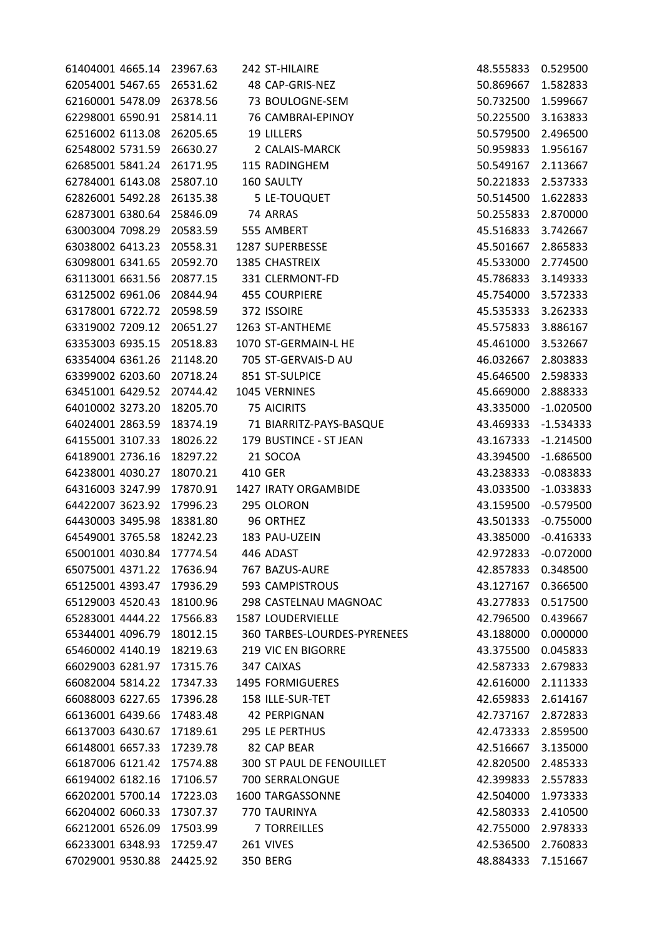| 61404001 4665.14 23967.63 |          | 242 ST-HILAIRE                   | 48.555833 | 0.529500    |
|---------------------------|----------|----------------------------------|-----------|-------------|
| 62054001 5467.65 26531.62 |          | 48 CAP-GRIS-NEZ                  | 50.869667 | 1.582833    |
| 62160001 5478.09 26378.56 |          | 73 BOULOGNE-SEM                  | 50.732500 | 1.599667    |
| 62298001 6590.91 25814.11 |          | 76 CAMBRAI-EPINOY                | 50.225500 | 3.163833    |
| 62516002 6113.08          | 26205.65 | 19 LILLERS                       | 50.579500 | 2.496500    |
| 62548002 5731.59          | 26630.27 | 2 CALAIS-MARCK                   | 50.959833 | 1.956167    |
| 62685001 5841.24          | 26171.95 | 115 RADINGHEM                    | 50.549167 | 2.113667    |
| 62784001 6143.08          | 25807.10 | 160 SAULTY                       | 50.221833 | 2.537333    |
| 62826001 5492.28          | 26135.38 | 5 LE-TOUQUET                     | 50.514500 | 1.622833    |
| 62873001 6380.64          | 25846.09 | 74 ARRAS                         | 50.255833 | 2.870000    |
| 63003004 7098.29          | 20583.59 | 555 AMBERT                       | 45.516833 | 3.742667    |
| 63038002 6413.23          | 20558.31 | 1287 SUPERBESSE                  | 45.501667 | 2.865833    |
| 63098001 6341.65          | 20592.70 | 1385 CHASTREIX                   | 45.533000 | 2.774500    |
| 63113001 6631.56          | 20877.15 | 331 CLERMONT-FD                  | 45.786833 | 3.149333    |
| 63125002 6961.06          | 20844.94 | <b>455 COURPIERE</b>             | 45.754000 | 3.572333    |
| 63178001 6722.72          | 20598.59 | 372 ISSOIRE                      | 45.535333 | 3.262333    |
| 63319002 7209.12          | 20651.27 | 1263 ST-ANTHEME                  | 45.575833 | 3.886167    |
| 63353003 6935.15          | 20518.83 | 1070 ST-GERMAIN-L HE             | 45.461000 | 3.532667    |
| 63354004 6361.26          | 21148.20 | 705 ST-GERVAIS-D AU              | 46.032667 | 2.803833    |
| 63399002 6203.60          | 20718.24 | 851 ST-SULPICE                   | 45.646500 | 2.598333    |
| 63451001 6429.52          | 20744.42 | 1045 VERNINES                    | 45.669000 | 2.888333    |
| 64010002 3273.20          | 18205.70 | <b>75 AICIRITS</b>               | 43.335000 | $-1.020500$ |
| 64024001 2863.59          | 18374.19 | 71 BIARRITZ-PAYS-BASQUE          | 43.469333 | $-1.534333$ |
| 64155001 3107.33          | 18026.22 | 179 BUSTINCE - ST JEAN           | 43.167333 | $-1.214500$ |
| 64189001 2736.16          | 18297.22 | 21 SOCOA                         | 43.394500 | $-1.686500$ |
| 64238001 4030.27          | 18070.21 | 410 GER                          | 43.238333 | $-0.083833$ |
| 64316003 3247.99          | 17870.91 | 1427 IRATY ORGAMBIDE             | 43.033500 | $-1.033833$ |
| 64422007 3623.92          | 17996.23 | 295 OLORON                       | 43.159500 | $-0.579500$ |
| 64430003 3495.98          | 18381.80 | 96 ORTHEZ                        | 43.501333 | $-0.755000$ |
| 64549001 3765.58          | 18242.23 | 183 PAU-UZEIN                    | 43.385000 | $-0.416333$ |
| 65001001 4030.84          | 17774.54 | 446 ADAST                        | 42.972833 | $-0.072000$ |
| 65075001 4371.22          | 17636.94 | 767 BAZUS-AURE                   | 42.857833 | 0.348500    |
| 65125001 4393.47          | 17936.29 | 593 CAMPISTROUS                  | 43.127167 | 0.366500    |
| 65129003 4520.43          | 18100.96 | 298 CASTELNAU MAGNOAC            | 43.277833 | 0.517500    |
| 65283001 4444.22          | 17566.83 | 1587 LOUDERVIELLE                | 42.796500 | 0.439667    |
| 65344001 4096.79          | 18012.15 | 360 TARBES-LOURDES-PYRENEES      | 43.188000 | 0.000000    |
| 65460002 4140.19          | 18219.63 | <b>219 VIC EN BIGORRE</b>        | 43.375500 | 0.045833    |
| 66029003 6281.97          | 17315.76 | 347 CAIXAS                       | 42.587333 | 2.679833    |
| 66082004 5814.22          | 17347.33 | 1495 FORMIGUERES                 | 42.616000 | 2.111333    |
| 66088003 6227.65          | 17396.28 | 158 ILLE-SUR-TET                 | 42.659833 | 2.614167    |
| 66136001 6439.66          | 17483.48 | <b>42 PERPIGNAN</b>              | 42.737167 | 2.872833    |
| 66137003 6430.67          | 17189.61 | 295 LE PERTHUS                   | 42.473333 | 2.859500    |
| 66148001 6657.33          | 17239.78 | 82 CAP BEAR                      | 42.516667 | 3.135000    |
| 66187006 6121.42          | 17574.88 | <b>300 ST PAUL DE FENOUILLET</b> | 42.820500 | 2.485333    |
| 66194002 6182.16          | 17106.57 | 700 SERRALONGUE                  | 42.399833 | 2.557833    |
| 66202001 5700.14          | 17223.03 | 1600 TARGASSONNE                 | 42.504000 | 1.973333    |
| 66204002 6060.33          | 17307.37 | 770 TAURINYA                     | 42.580333 | 2.410500    |
| 66212001 6526.09          | 17503.99 | <b>7 TORREILLES</b>              | 42.755000 | 2.978333    |
| 66233001 6348.93          | 17259.47 | 261 VIVES                        | 42.536500 | 2.760833    |
| 67029001 9530.88          | 24425.92 | 350 BERG                         | 48.884333 | 7.151667    |
|                           |          |                                  |           |             |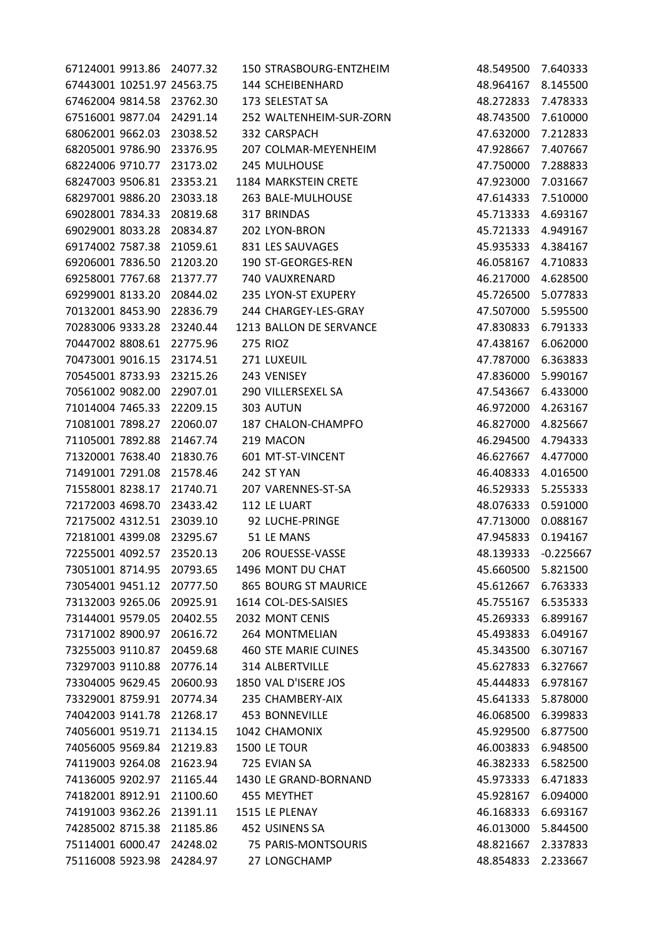| 67124001 9913.86 24077.32  |          | 150 STRASBOURG-ENTZHEIM     | 48.549500          | 7.640333    |
|----------------------------|----------|-----------------------------|--------------------|-------------|
| 67443001 10251.97 24563.75 |          | 144 SCHEIBENHARD            | 48.964167          | 8.145500    |
| 67462004 9814.58 23762.30  |          | 173 SELESTAT SA             | 48.272833 7.478333 |             |
| 67516001 9877.04           | 24291.14 | 252 WALTENHEIM-SUR-ZORN     | 48.743500          | 7.610000    |
| 68062001 9662.03           | 23038.52 | 332 CARSPACH                | 47.632000          | 7.212833    |
| 68205001 9786.90 23376.95  |          | 207 COLMAR-MEYENHEIM        | 47.928667          | 7.407667    |
| 68224006 9710.77           | 23173.02 | 245 MULHOUSE                | 47.750000          | 7.288833    |
| 68247003 9506.81           | 23353.21 | 1184 MARKSTEIN CRETE        | 47.923000          | 7.031667    |
| 68297001 9886.20           | 23033.18 | 263 BALE-MULHOUSE           | 47.614333          | 7.510000    |
| 69028001 7834.33           | 20819.68 | 317 BRINDAS                 | 45.713333          | 4.693167    |
| 69029001 8033.28           | 20834.87 | 202 LYON-BRON               | 45.721333          | 4.949167    |
| 69174002 7587.38           | 21059.61 | 831 LES SAUVAGES            | 45.935333 4.384167 |             |
| 69206001 7836.50           | 21203.20 | 190 ST-GEORGES-REN          | 46.058167 4.710833 |             |
| 69258001 7767.68           | 21377.77 | 740 VAUXRENARD              | 46.217000          | 4.628500    |
| 69299001 8133.20           | 20844.02 | 235 LYON-ST EXUPERY         | 45.726500          | 5.077833    |
| 70132001 8453.90           | 22836.79 | 244 CHARGEY-LES-GRAY        | 47.507000          | 5.595500    |
| 70283006 9333.28           | 23240.44 | 1213 BALLON DE SERVANCE     | 47.830833          | 6.791333    |
| 70447002 8808.61           | 22775.96 | 275 RIOZ                    | 47.438167          | 6.062000    |
| 70473001 9016.15           | 23174.51 | 271 LUXEUIL                 | 47.787000          | 6.363833    |
| 70545001 8733.93           | 23215.26 | 243 VENISEY                 | 47.836000          | 5.990167    |
| 70561002 9082.00           | 22907.01 | 290 VILLERSEXEL SA          | 47.543667          | 6.433000    |
| 71014004 7465.33           | 22209.15 | 303 AUTUN                   | 46.972000          | 4.263167    |
| 71081001 7898.27           | 22060.07 | 187 CHALON-CHAMPFO          | 46.827000          | 4.825667    |
| 71105001 7892.88           | 21467.74 | 219 MACON                   | 46.294500          | 4.794333    |
| 71320001 7638.40           | 21830.76 | 601 MT-ST-VINCENT           | 46.627667 4.477000 |             |
| 71491001 7291.08           | 21578.46 | 242 ST YAN                  | 46.408333          | 4.016500    |
| 71558001 8238.17           | 21740.71 | 207 VARENNES-ST-SA          | 46.529333          | 5.255333    |
| 72172003 4698.70           | 23433.42 | 112 LE LUART                | 48.076333          | 0.591000    |
| 72175002 4312.51           | 23039.10 | 92 LUCHE-PRINGE             | 47.713000          | 0.088167    |
| 72181001 4399.08           | 23295.67 | 51 LE MANS                  | 47.945833          | 0.194167    |
| 72255001 4092.57           | 23520.13 | 206 ROUESSE-VASSE           | 48.139333          | $-0.225667$ |
| 73051001 8714.95           | 20793.65 | 1496 MONT DU CHAT           | 45.660500          | 5.821500    |
| 73054001 9451.12           | 20777.50 | <b>865 BOURG ST MAURICE</b> | 45.612667          | 6.763333    |
| 73132003 9265.06           | 20925.91 | 1614 COL-DES-SAISIES        | 45.755167          | 6.535333    |
| 73144001 9579.05           | 20402.55 | 2032 MONT CENIS             | 45.269333          | 6.899167    |
| 73171002 8900.97           | 20616.72 | 264 MONTMELIAN              | 45.493833          | 6.049167    |
| 73255003 9110.87           | 20459.68 | <b>460 STE MARIE CUINES</b> | 45.343500          | 6.307167    |
| 73297003 9110.88           | 20776.14 | <b>314 ALBERTVILLE</b>      | 45.627833          | 6.327667    |
| 73304005 9629.45           | 20600.93 | 1850 VAL D'ISERE JOS        | 45.444833          | 6.978167    |
| 73329001 8759.91           | 20774.34 | 235 CHAMBERY-AIX            | 45.641333          | 5.878000    |
| 74042003 9141.78           | 21268.17 | 453 BONNEVILLE              | 46.068500          | 6.399833    |
| 74056001 9519.71           | 21134.15 | 1042 CHAMONIX               | 45.929500          | 6.877500    |
| 74056005 9569.84           | 21219.83 | 1500 LE TOUR                | 46.003833          | 6.948500    |
| 74119003 9264.08           | 21623.94 | 725 EVIAN SA                | 46.382333          | 6.582500    |
| 74136005 9202.97           | 21165.44 | 1430 LE GRAND-BORNAND       | 45.973333          | 6.471833    |
| 74182001 8912.91           | 21100.60 | 455 MEYTHET                 | 45.928167          | 6.094000    |
| 74191003 9362.26           | 21391.11 | 1515 LE PLENAY              | 46.168333          | 6.693167    |
| 74285002 8715.38           | 21185.86 | 452 USINENS SA              | 46.013000          | 5.844500    |
| 75114001 6000.47           | 24248.02 | 75 PARIS-MONTSOURIS         | 48.821667          | 2.337833    |
| 75116008 5923.98           | 24284.97 | 27 LONGCHAMP                | 48.854833          | 2.233667    |
|                            |          |                             |                    |             |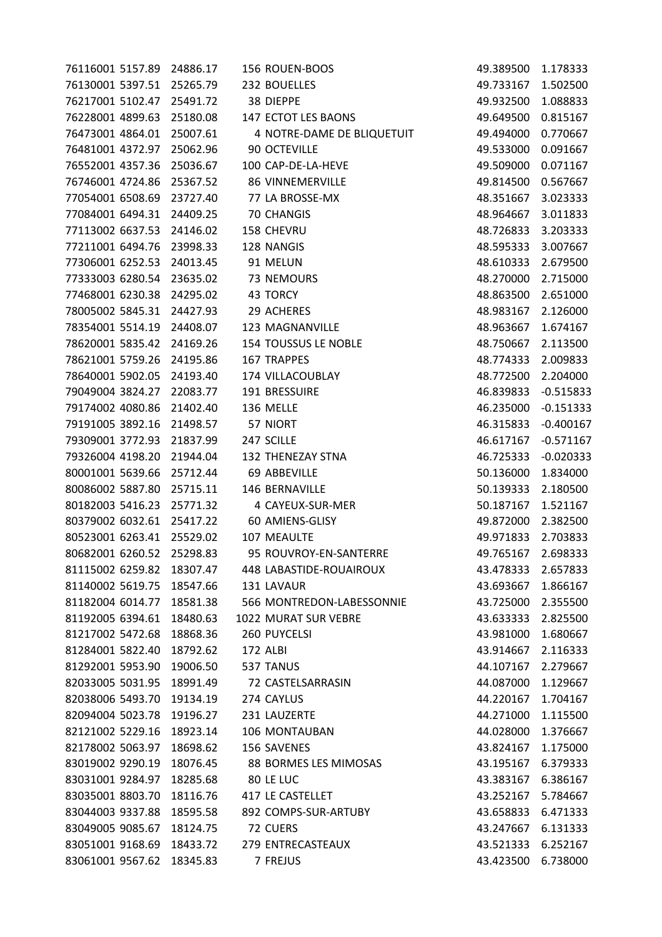| 76116001 5157.89 24886.17 |          | 156 ROUEN-BOOS             | 49.389500 | 1.178333    |
|---------------------------|----------|----------------------------|-----------|-------------|
| 76130001 5397.51 25265.79 |          | 232 BOUELLES               | 49.733167 | 1.502500    |
| 76217001 5102.47          | 25491.72 | 38 DIEPPE                  | 49.932500 | 1.088833    |
| 76228001 4899.63          | 25180.08 | 147 ECTOT LES BAONS        | 49.649500 | 0.815167    |
| 76473001 4864.01          | 25007.61 | 4 NOTRE-DAME DE BLIQUETUIT | 49.494000 | 0.770667    |
| 76481001 4372.97          | 25062.96 | 90 OCTEVILLE               | 49.533000 | 0.091667    |
| 76552001 4357.36          | 25036.67 | 100 CAP-DE-LA-HEVE         | 49.509000 | 0.071167    |
| 76746001 4724.86          | 25367.52 | <b>86 VINNEMERVILLE</b>    | 49.814500 | 0.567667    |
| 77054001 6508.69 23727.40 |          | 77 LA BROSSE-MX            | 48.351667 | 3.023333    |
| 77084001 6494.31          | 24409.25 | <b>70 CHANGIS</b>          | 48.964667 | 3.011833    |
| 77113002 6637.53          | 24146.02 | 158 CHEVRU                 | 48.726833 | 3.203333    |
| 77211001 6494.76          | 23998.33 | 128 NANGIS                 | 48.595333 | 3.007667    |
| 77306001 6252.53          | 24013.45 | 91 MELUN                   | 48.610333 | 2.679500    |
| 77333003 6280.54          | 23635.02 | 73 NEMOURS                 | 48.270000 | 2.715000    |
| 77468001 6230.38          | 24295.02 | 43 TORCY                   | 48.863500 | 2.651000    |
| 78005002 5845.31          | 24427.93 | 29 ACHERES                 | 48.983167 | 2.126000    |
| 78354001 5514.19          | 24408.07 | 123 MAGNANVILLE            | 48.963667 | 1.674167    |
| 78620001 5835.42          | 24169.26 | 154 TOUSSUS LE NOBLE       | 48.750667 | 2.113500    |
| 78621001 5759.26          | 24195.86 | <b>167 TRAPPES</b>         | 48.774333 | 2.009833    |
| 78640001 5902.05          | 24193.40 | 174 VILLACOUBLAY           | 48.772500 | 2.204000    |
| 79049004 3824.27          | 22083.77 | 191 BRESSUIRE              | 46.839833 | $-0.515833$ |
| 79174002 4080.86          | 21402.40 | 136 MELLE                  | 46.235000 | $-0.151333$ |
| 79191005 3892.16          | 21498.57 | 57 NIORT                   | 46.315833 | $-0.400167$ |
| 79309001 3772.93          | 21837.99 | 247 SCILLE                 | 46.617167 | $-0.571167$ |
| 79326004 4198.20          | 21944.04 | 132 THENEZAY STNA          | 46.725333 | $-0.020333$ |
| 80001001 5639.66          | 25712.44 | 69 ABBEVILLE               | 50.136000 | 1.834000    |
| 80086002 5887.80          | 25715.11 | 146 BERNAVILLE             | 50.139333 | 2.180500    |
| 80182003 5416.23          | 25771.32 | 4 CAYEUX-SUR-MER           | 50.187167 | 1.521167    |
| 80379002 6032.61          | 25417.22 | 60 AMIENS-GLISY            | 49.872000 | 2.382500    |
| 80523001 6263.41          | 25529.02 | 107 MEAULTE                | 49.971833 | 2.703833    |
| 80682001 6260.52          | 25298.83 | 95 ROUVROY-EN-SANTERRE     | 49.765167 | 2.698333    |
| 81115002 6259.82          | 18307.47 | 448 LABASTIDE-ROUAIROUX    | 43.478333 | 2.657833    |
| 81140002 5619.75          | 18547.66 | 131 LAVAUR                 | 43.693667 | 1.866167    |
| 81182004 6014.77          | 18581.38 | 566 MONTREDON-LABESSONNIE  | 43.725000 | 2.355500    |
| 81192005 6394.61          | 18480.63 | 1022 MURAT SUR VEBRE       | 43.633333 | 2.825500    |
| 81217002 5472.68          | 18868.36 | 260 PUYCELSI               | 43.981000 | 1.680667    |
| 81284001 5822.40          | 18792.62 | 172 ALBI                   | 43.914667 | 2.116333    |
| 81292001 5953.90          | 19006.50 | 537 TANUS                  | 44.107167 | 2.279667    |
| 82033005 5031.95          | 18991.49 | 72 CASTELSARRASIN          | 44.087000 | 1.129667    |
| 82038006 5493.70          | 19134.19 | 274 CAYLUS                 | 44.220167 | 1.704167    |
| 82094004 5023.78          | 19196.27 | 231 LAUZERTE               | 44.271000 | 1.115500    |
| 82121002 5229.16          | 18923.14 | 106 MONTAUBAN              | 44.028000 | 1.376667    |
| 82178002 5063.97          | 18698.62 | 156 SAVENES                | 43.824167 | 1.175000    |
| 83019002 9290.19          | 18076.45 | 88 BORMES LES MIMOSAS      | 43.195167 | 6.379333    |
| 83031001 9284.97          | 18285.68 | 80 LE LUC                  | 43.383167 | 6.386167    |
| 83035001 8803.70          | 18116.76 | 417 LE CASTELLET           | 43.252167 | 5.784667    |
| 83044003 9337.88          | 18595.58 | 892 COMPS-SUR-ARTUBY       | 43.658833 | 6.471333    |
| 83049005 9085.67          | 18124.75 | 72 CUERS                   | 43.247667 | 6.131333    |
| 83051001 9168.69          | 18433.72 | 279 ENTRECASTEAUX          | 43.521333 | 6.252167    |
| 83061001 9567.62          | 18345.83 | 7 FREJUS                   | 43.423500 | 6.738000    |
|                           |          |                            |           |             |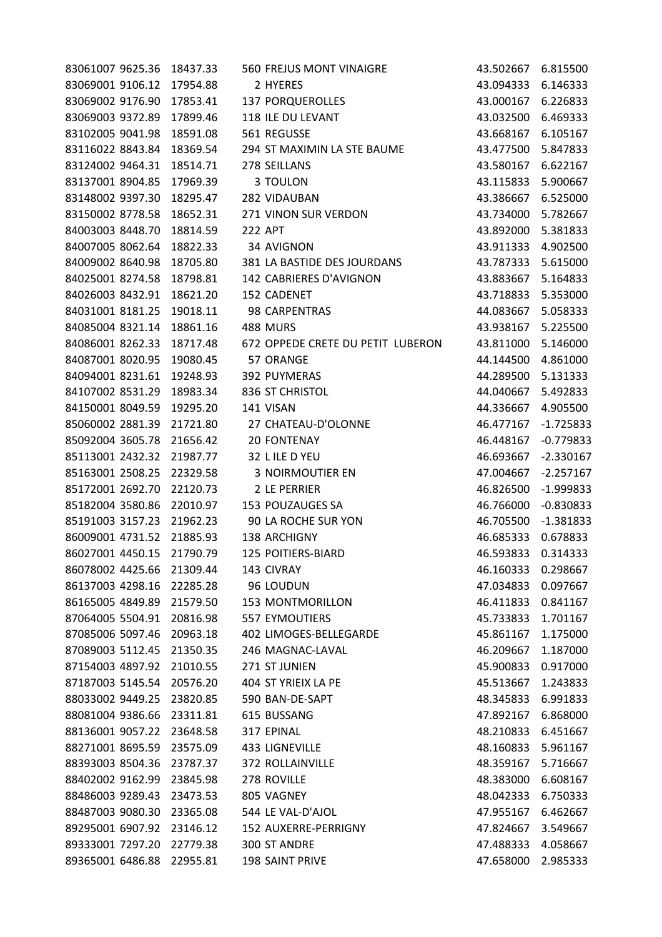| 83061007 9625.36          | 18437.33 | 560 FREJUS MONT VINAIGRE          | 43.502667 | 6.815500    |
|---------------------------|----------|-----------------------------------|-----------|-------------|
| 83069001 9106.12          | 17954.88 | 2 HYERES                          | 43.094333 | 6.146333    |
| 83069002 9176.90          | 17853.41 | <b>137 PORQUEROLLES</b>           | 43.000167 | 6.226833    |
| 83069003 9372.89          | 17899.46 | 118 ILE DU LEVANT                 | 43.032500 | 6.469333    |
| 83102005 9041.98          | 18591.08 | 561 REGUSSE                       | 43.668167 | 6.105167    |
| 83116022 8843.84          | 18369.54 | 294 ST MAXIMIN LA STE BAUME       | 43.477500 | 5.847833    |
| 83124002 9464.31          | 18514.71 | 278 SEILLANS                      | 43.580167 | 6.622167    |
| 83137001 8904.85          | 17969.39 | 3 TOULON                          | 43.115833 | 5.900667    |
| 83148002 9397.30          | 18295.47 | 282 VIDAUBAN                      | 43.386667 | 6.525000    |
| 83150002 8778.58          | 18652.31 | 271 VINON SUR VERDON              | 43.734000 | 5.782667    |
| 84003003 8448.70          | 18814.59 | <b>222 APT</b>                    | 43.892000 | 5.381833    |
| 84007005 8062.64          | 18822.33 | 34 AVIGNON                        | 43.911333 | 4.902500    |
| 84009002 8640.98          | 18705.80 | 381 LA BASTIDE DES JOURDANS       | 43.787333 | 5.615000    |
| 84025001 8274.58          | 18798.81 | 142 CABRIERES D'AVIGNON           | 43.883667 | 5.164833    |
| 84026003 8432.91          | 18621.20 | 152 CADENET                       | 43.718833 | 5.353000    |
| 84031001 8181.25          | 19018.11 | 98 CARPENTRAS                     | 44.083667 | 5.058333    |
| 84085004 8321.14          | 18861.16 | 488 MURS                          | 43.938167 | 5.225500    |
| 84086001 8262.33          | 18717.48 | 672 OPPEDE CRETE DU PETIT LUBERON | 43.811000 | 5.146000    |
| 84087001 8020.95          | 19080.45 | 57 ORANGE                         | 44.144500 | 4.861000    |
| 84094001 8231.61          | 19248.93 | 392 PUYMERAS                      | 44.289500 | 5.131333    |
| 84107002 8531.29          | 18983.34 | 836 ST CHRISTOL                   | 44.040667 | 5.492833    |
| 84150001 8049.59          | 19295.20 | 141 VISAN                         | 44.336667 | 4.905500    |
| 85060002 2881.39          | 21721.80 | 27 CHATEAU-D'OLONNE               | 46.477167 | $-1.725833$ |
| 85092004 3605.78          | 21656.42 | <b>20 FONTENAY</b>                | 46.448167 | $-0.779833$ |
| 85113001 2432.32          | 21987.77 | 32 L ILE D YEU                    | 46.693667 | $-2.330167$ |
| 85163001 2508.25          | 22329.58 | <b>3 NOIRMOUTIER EN</b>           | 47.004667 | $-2.257167$ |
| 85172001 2692.70          | 22120.73 | 2 LE PERRIER                      | 46.826500 | $-1.999833$ |
| 85182004 3580.86          | 22010.97 | 153 POUZAUGES SA                  | 46.766000 | $-0.830833$ |
| 85191003 3157.23          | 21962.23 | 90 LA ROCHE SUR YON               | 46.705500 | $-1.381833$ |
| 86009001 4731.52          | 21885.93 | 138 ARCHIGNY                      | 46.685333 | 0.678833    |
| 86027001 4450.15          | 21790.79 | <b>125 POITIERS-BIARD</b>         | 46.593833 | 0.314333    |
| 86078002 4425.66          | 21309.44 | 143 CIVRAY                        | 46.160333 | 0.298667    |
| 86137003 4298.16          | 22285.28 | 96 LOUDUN                         | 47.034833 | 0.097667    |
| 86165005 4849.89 21579.50 |          | <b>153 MONTMORILLON</b>           | 46.411833 | 0.841167    |
| 87064005 5504.91          | 20816.98 | 557 EYMOUTIERS                    | 45.733833 | 1.701167    |
| 87085006 5097.46          | 20963.18 | 402 LIMOGES-BELLEGARDE            | 45.861167 | 1.175000    |
| 87089003 5112.45          | 21350.35 | 246 MAGNAC-LAVAL                  | 46.209667 | 1.187000    |
| 87154003 4897.92          | 21010.55 | 271 ST JUNIEN                     | 45.900833 | 0.917000    |
| 87187003 5145.54          | 20576.20 | 404 ST YRIEIX LA PE               | 45.513667 | 1.243833    |
| 88033002 9449.25          | 23820.85 | 590 BAN-DE-SAPT                   | 48.345833 | 6.991833    |
| 88081004 9386.66          | 23311.81 | 615 BUSSANG                       | 47.892167 | 6.868000    |
| 88136001 9057.22          | 23648.58 | 317 EPINAL                        | 48.210833 | 6.451667    |
| 88271001 8695.59          | 23575.09 | 433 LIGNEVILLE                    | 48.160833 | 5.961167    |
| 88393003 8504.36          | 23787.37 | 372 ROLLAINVILLE                  | 48.359167 | 5.716667    |
| 88402002 9162.99          | 23845.98 | 278 ROVILLE                       | 48.383000 | 6.608167    |
| 88486003 9289.43          | 23473.53 | 805 VAGNEY                        | 48.042333 | 6.750333    |
| 88487003 9080.30          | 23365.08 | 544 LE VAL-D'AJOL                 | 47.955167 | 6.462667    |
| 89295001 6907.92          | 23146.12 | 152 AUXERRE-PERRIGNY              | 47.824667 | 3.549667    |
| 89333001 7297.20          | 22779.38 | 300 ST ANDRE                      | 47.488333 | 4.058667    |
| 89365001 6486.88          | 22955.81 | 198 SAINT PRIVE                   | 47.658000 | 2.985333    |
|                           |          |                                   |           |             |